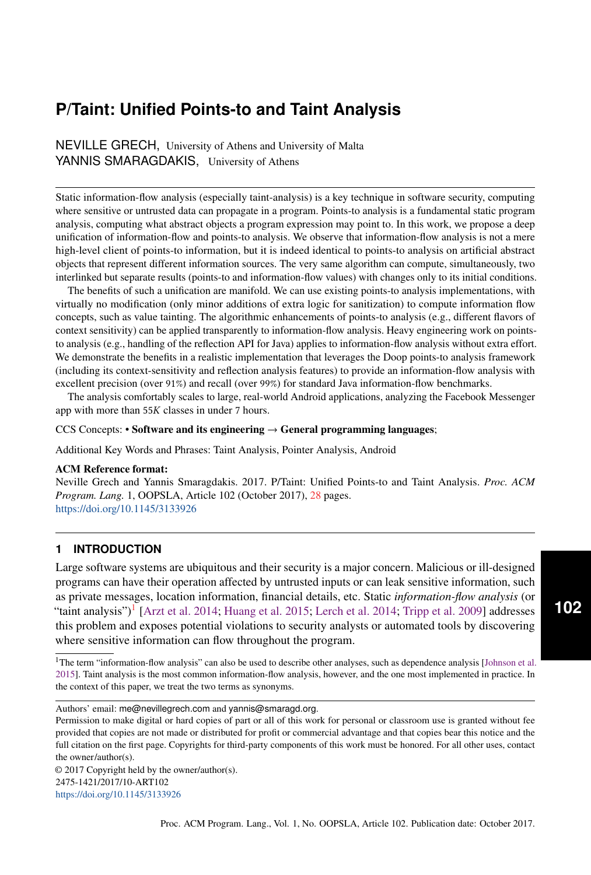NEVILLE GRECH, University of Athens and University of Malta YANNIS SMARAGDAKIS, University of Athens

Static information-flow analysis (especially taint-analysis) is a key technique in software security, computing where sensitive or untrusted data can propagate in a program. Points-to analysis is a fundamental static program analysis, computing what abstract objects a program expression may point to. In this work, we propose a deep unification of information-flow and points-to analysis. We observe that information-flow analysis is not a mere high-level client of points-to information, but it is indeed identical to points-to analysis on artificial abstract objects that represent different information sources. The very same algorithm can compute, simultaneously, two interlinked but separate results (points-to and information-flow values) with changes only to its initial conditions.

The benefits of such a unification are manifold. We can use existing points-to analysis implementations, with virtually no modification (only minor additions of extra logic for sanitization) to compute information flow concepts, such as value tainting. The algorithmic enhancements of points-to analysis (e.g., different flavors of context sensitivity) can be applied transparently to information-flow analysis. Heavy engineering work on pointsto analysis (e.g., handling of the reflection API for Java) applies to information-flow analysis without extra effort. We demonstrate the benefits in a realistic implementation that leverages the Doop points-to analysis framework (including its context-sensitivity and reflection analysis features) to provide an information-flow analysis with excellent precision (over 91%) and recall (over 99%) for standard Java information-flow benchmarks.

The analysis comfortably scales to large, real-world Android applications, analyzing the Facebook Messenger app with more than 55K classes in under 7 hours.

#### CCS Concepts: • Software and its engineering  $\rightarrow$  General programming languages;

Additional Key Words and Phrases: Taint Analysis, Pointer Analysis, Android

#### ACM Reference format:

Neville Grech and Yannis Smaragdakis. 2017. P/Taint: Unified Points-to and Taint Analysis. *Proc. ACM Program. Lang.* 1, OOPSLA, Article 102 (October 2017), [28](#page-27-0) pages. <https://doi.org/10.1145/3133926>

## **1 INTRODUCTION**

Large software systems are ubiquitous and their security is a major concern. Malicious or ill-designed programs can have their operation affected by untrusted inputs or can leak sensitive information, such as private messages, location information, financial details, etc. Static *information-flow analysis* (or "taint analysis")<sup>[1](#page-0-0)</sup> [\[Arzt et al.](#page-24-0) [2014;](#page-25-1) [Huang et al.](#page-25-0) [2015;](#page-25-0) [Lerch et al.](#page-25-1) 2014; [Tripp et al.](#page-26-0) [2009\]](#page-26-0) addresses this problem and exposes potential violations to security analysts or automated tools by discovering where sensitive information can flow throughout the program.

© 2017 Copyright held by the owner/author(s). 2475-1421/2017/10-ART102 <https://doi.org/10.1145/3133926>

<span id="page-0-0"></span><sup>&</sup>lt;sup>1</sup>The term "information-flow analysis" can also be used to describe other analyses, such as dependence analysis [\[Johnson et al.](#page-25-2) [2015\]](#page-25-2). Taint analysis is the most common information-flow analysis, however, and the one most implemented in practice. In the context of this paper, we treat the two terms as synonyms.

Authors' email: me@nevillegrech.com and yannis@smaragd.org.

Permission to make digital or hard copies of part or all of this work for personal or classroom use is granted without fee provided that copies are not made or distributed for profit or commercial advantage and that copies bear this notice and the full citation on the first page. Copyrights for third-party components of this work must be honored. For all other uses, contact the owner/author(s).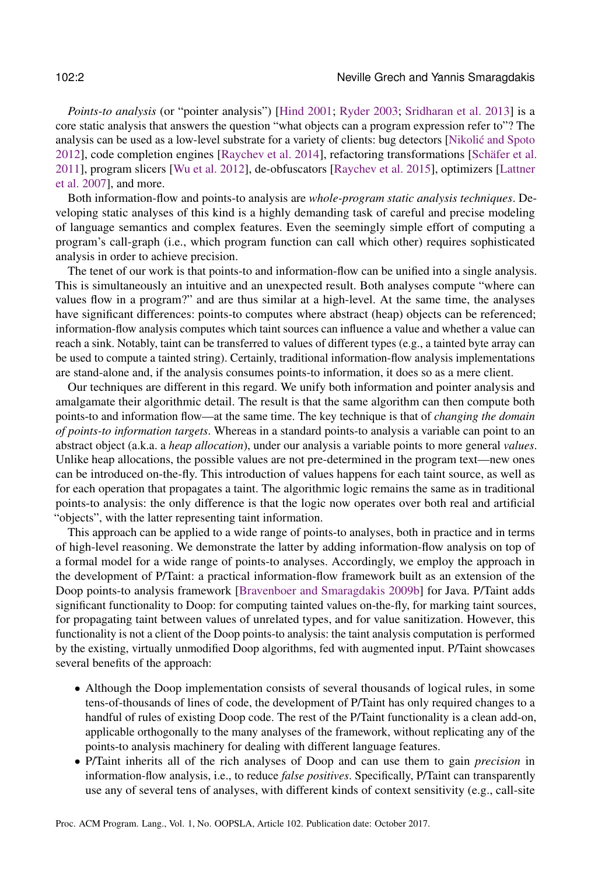#### 102:2 Neville Grech and Yannis Smaragdakis

*Points-to analysis* (or "pointer analysis") [\[Hind](#page-25-3) [2001;](#page-25-3) [Ryder](#page-26-1) [2003;](#page-26-1) [Sridharan et al.](#page-26-2) [2013\]](#page-26-2) is a core static analysis that answers the question "what objects can a program expression refer to"? The analysis can be used as a low-level substrate for a variety of clients: bug detectors [\[Nikolic and Spoto](#page-26-3) ´ [2012\]](#page-26-3), code completion engines [\[Raychev et al.](#page-26-4) [2014\]](#page-26-4), refactoring transformations [\[Schäfer et al.](#page-26-5) [2011\]](#page-26-5), program slicers [\[Wu et al.](#page-26-6) [2012\]](#page-26-6), de-obfuscators [\[Raychev et al.](#page-26-7) [2015\]](#page-26-7), optimizers [\[Lattner](#page-25-4) [et al.](#page-25-4) [2007\]](#page-25-4), and more.

Both information-flow and points-to analysis are *whole-program static analysis techniques*. Developing static analyses of this kind is a highly demanding task of careful and precise modeling of language semantics and complex features. Even the seemingly simple effort of computing a program's call-graph (i.e., which program function can call which other) requires sophisticated analysis in order to achieve precision.

The tenet of our work is that points-to and information-flow can be unified into a single analysis. This is simultaneously an intuitive and an unexpected result. Both analyses compute "where can values flow in a program?" and are thus similar at a high-level. At the same time, the analyses have significant differences: points-to computes where abstract (heap) objects can be referenced; information-flow analysis computes which taint sources can influence a value and whether a value can reach a sink. Notably, taint can be transferred to values of different types (e.g., a tainted byte array can be used to compute a tainted string). Certainly, traditional information-flow analysis implementations are stand-alone and, if the analysis consumes points-to information, it does so as a mere client.

Our techniques are different in this regard. We unify both information and pointer analysis and amalgamate their algorithmic detail. The result is that the same algorithm can then compute both points-to and information flow—at the same time. The key technique is that of *changing the domain of points-to information targets*. Whereas in a standard points-to analysis a variable can point to an abstract object (a.k.a. a *heap allocation*), under our analysis a variable points to more general *values*. Unlike heap allocations, the possible values are not pre-determined in the program text—new ones can be introduced on-the-fly. This introduction of values happens for each taint source, as well as for each operation that propagates a taint. The algorithmic logic remains the same as in traditional points-to analysis: the only difference is that the logic now operates over both real and artificial "objects", with the latter representing taint information.

This approach can be applied to a wide range of points-to analyses, both in practice and in terms of high-level reasoning. We demonstrate the latter by adding information-flow analysis on top of a formal model for a wide range of points-to analyses. Accordingly, we employ the approach in the development of P/Taint: a practical information-flow framework built as an extension of the Doop points-to analysis framework [\[Bravenboer and Smaragdakis](#page-25-5) [2009b\]](#page-25-5) for Java. P/Taint adds significant functionality to Doop: for computing tainted values on-the-fly, for marking taint sources, for propagating taint between values of unrelated types, and for value sanitization. However, this functionality is not a client of the Doop points-to analysis: the taint analysis computation is performed by the existing, virtually unmodified Doop algorithms, fed with augmented input. P/Taint showcases several benefits of the approach:

- Although the Doop implementation consists of several thousands of logical rules, in some tens-of-thousands of lines of code, the development of P/Taint has only required changes to a handful of rules of existing Doop code. The rest of the P/Taint functionality is a clean add-on, applicable orthogonally to the many analyses of the framework, without replicating any of the points-to analysis machinery for dealing with different language features.
- P/Taint inherits all of the rich analyses of Doop and can use them to gain *precision* in information-flow analysis, i.e., to reduce *false positives*. Specifically, P/Taint can transparently use any of several tens of analyses, with different kinds of context sensitivity (e.g., call-site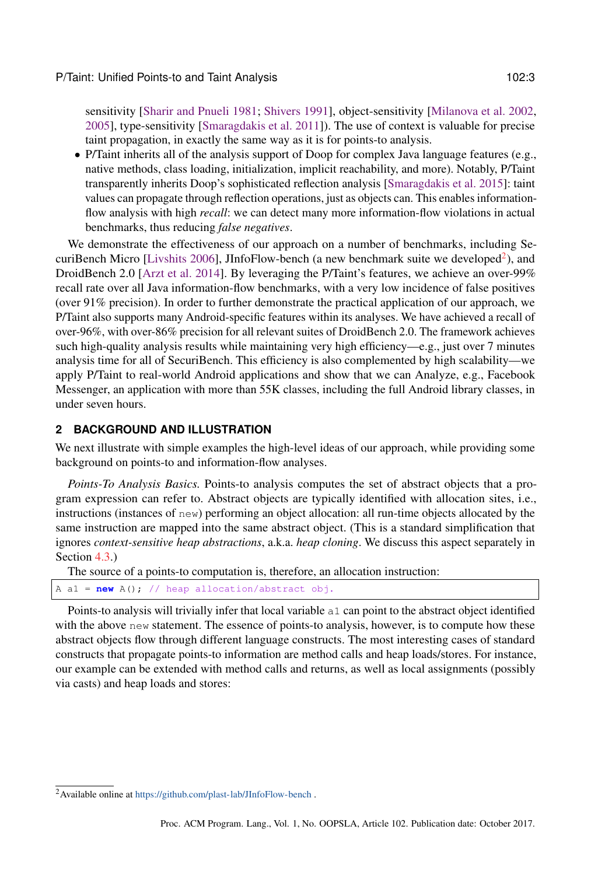sensitivity [\[Sharir and Pnueli](#page-26-8) [1981;](#page-26-8) [Shivers](#page-26-9) [1991\]](#page-26-9), object-sensitivity [\[Milanova et al.](#page-26-10) [2002,](#page-26-10) [2005\]](#page-26-11), type-sensitivity [\[Smaragdakis et al.](#page-26-12) [2011\]](#page-26-12)). The use of context is valuable for precise taint propagation, in exactly the same way as it is for points-to analysis.

• P/Taint inherits all of the analysis support of Doop for complex Java language features (e.g., native methods, class loading, initialization, implicit reachability, and more). Notably, P/Taint transparently inherits Doop's sophisticated reflection analysis [\[Smaragdakis et al.](#page-26-13) [2015\]](#page-26-13): taint values can propagate through reflection operations, just as objects can. This enables informationflow analysis with high *recall*: we can detect many more information-flow violations in actual benchmarks, thus reducing *false negatives*.

We demonstrate the effectiveness of our approach on a number of benchmarks, including Se-curiBench Micro [\[Livshits](#page-26-14) [2006\]](#page-26-14), JInfoFlow-bench (a new benchmark suite we developed<sup>[2](#page-2-0)</sup>), and DroidBench 2.0 [\[Arzt et al.](#page-24-0) [2014\]](#page-24-0). By leveraging the P/Taint's features, we achieve an over-99% recall rate over all Java information-flow benchmarks, with a very low incidence of false positives (over 91% precision). In order to further demonstrate the practical application of our approach, we P/Taint also supports many Android-specific features within its analyses. We have achieved a recall of over-96%, with over-86% precision for all relevant suites of DroidBench 2.0. The framework achieves such high-quality analysis results while maintaining very high efficiency—e.g., just over 7 minutes analysis time for all of SecuriBench. This efficiency is also complemented by high scalability—we apply P/Taint to real-world Android applications and show that we can Analyze, e.g., Facebook Messenger, an application with more than 55K classes, including the full Android library classes, in under seven hours.

## <span id="page-2-1"></span>**2 BACKGROUND AND ILLUSTRATION**

We next illustrate with simple examples the high-level ideas of our approach, while providing some background on points-to and information-flow analyses.

*Points-To Analysis Basics.* Points-to analysis computes the set of abstract objects that a program expression can refer to. Abstract objects are typically identified with allocation sites, i.e., instructions (instances of new) performing an object allocation: all run-time objects allocated by the same instruction are mapped into the same abstract object. (This is a standard simplification that ignores *context-sensitive heap abstractions*, a.k.a. *heap cloning*. We discuss this aspect separately in Section [4.3.](#page-10-0)

The source of a points-to computation is, therefore, an allocation instruction:

```
A al = new A(); // heap allocation/abstract obj.
```
Points-to analysis will trivially infer that local variable a1 can point to the abstract object identified with the above new statement. The essence of points-to analysis, however, is to compute how these abstract objects flow through different language constructs. The most interesting cases of standard constructs that propagate points-to information are method calls and heap loads/stores. For instance, our example can be extended with method calls and returns, as well as local assignments (possibly via casts) and heap loads and stores:

<span id="page-2-0"></span><sup>2</sup>Available online at <https://github.com/plast-lab/JInfoFlow-bench> .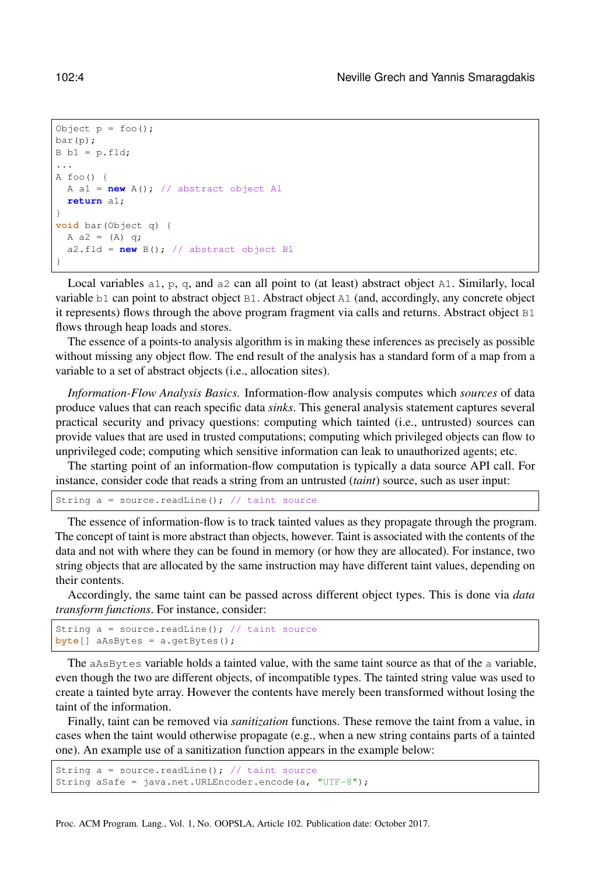```
Object p = foo();
bar(p);
B \text{ bl} = p.fld;...
A foo() {
 A al = new A(); // abstract object A1
  return a1;
}
void bar(Object q) {
  A a2 = (A) q;a2.fld = new B(); // abstract object B1
}
```
Local variables  $a_1$ ,  $p$ ,  $q$ , and  $a_2$  can all point to (at least) abstract object A1. Similarly, local variable b1 can point to abstract object B1. Abstract object A1 (and, accordingly, any concrete object it represents) flows through the above program fragment via calls and returns. Abstract object B1 flows through heap loads and stores.

The essence of a points-to analysis algorithm is in making these inferences as precisely as possible without missing any object flow. The end result of the analysis has a standard form of a map from a variable to a set of abstract objects (i.e., allocation sites).

*Information-Flow Analysis Basics.* Information-flow analysis computes which *sources* of data produce values that can reach specific data *sinks*. This general analysis statement captures several practical security and privacy questions: computing which tainted (i.e., untrusted) sources can provide values that are used in trusted computations; computing which privileged objects can flow to unprivileged code; computing which sensitive information can leak to unauthorized agents; etc.

The starting point of an information-flow computation is typically a data source API call. For instance, consider code that reads a string from an untrusted (*taint*) source, such as user input:

String  $a = source.readLine()$ ; // taint source

The essence of information-flow is to track tainted values as they propagate through the program. The concept of taint is more abstract than objects, however. Taint is associated with the contents of the data and not with where they can be found in memory (or how they are allocated). For instance, two string objects that are allocated by the same instruction may have different taint values, depending on their contents.

Accordingly, the same taint can be passed across different object types. This is done via *data transform functions*. For instance, consider:

```
String a = source.readLine(); // taint source
byte[] aAsBytes = a.getBytes();
```
The aAsBytes variable holds a tainted value, with the same taint source as that of the a variable, even though the two are different objects, of incompatible types. The tainted string value was used to create a tainted byte array. However the contents have merely been transformed without losing the taint of the information.

Finally, taint can be removed via *sanitization* functions. These remove the taint from a value, in cases when the taint would otherwise propagate (e.g., when a new string contains parts of a tainted one). An example use of a sanitization function appears in the example below:

```
String a = source.readLine(); // taint source
String aSafe = java.net.URLEncoder.encode(a, "UTF-8");
```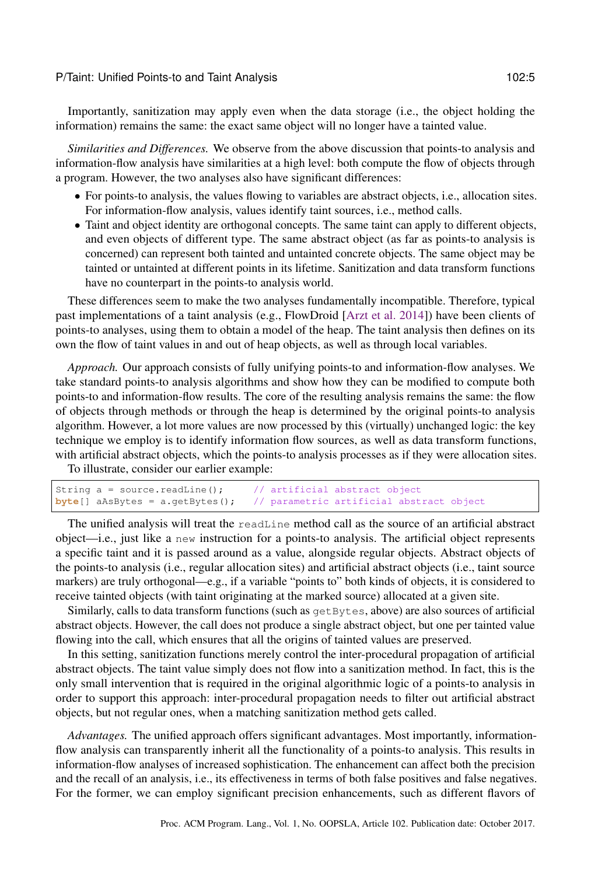Importantly, sanitization may apply even when the data storage (i.e., the object holding the information) remains the same: the exact same object will no longer have a tainted value.

*Similarities and Differences.* We observe from the above discussion that points-to analysis and information-flow analysis have similarities at a high level: both compute the flow of objects through a program. However, the two analyses also have significant differences:

- For points-to analysis, the values flowing to variables are abstract objects, i.e., allocation sites. For information-flow analysis, values identify taint sources, i.e., method calls.
- Taint and object identity are orthogonal concepts. The same taint can apply to different objects, and even objects of different type. The same abstract object (as far as points-to analysis is concerned) can represent both tainted and untainted concrete objects. The same object may be tainted or untainted at different points in its lifetime. Sanitization and data transform functions have no counterpart in the points-to analysis world.

These differences seem to make the two analyses fundamentally incompatible. Therefore, typical past implementations of a taint analysis (e.g., FlowDroid [\[Arzt et al.](#page-24-0) [2014\]](#page-24-0)) have been clients of points-to analyses, using them to obtain a model of the heap. The taint analysis then defines on its own the flow of taint values in and out of heap objects, as well as through local variables.

*Approach.* Our approach consists of fully unifying points-to and information-flow analyses. We take standard points-to analysis algorithms and show how they can be modified to compute both points-to and information-flow results. The core of the resulting analysis remains the same: the flow of objects through methods or through the heap is determined by the original points-to analysis algorithm. However, a lot more values are now processed by this (virtually) unchanged logic: the key technique we employ is to identify information flow sources, as well as data transform functions, with artificial abstract objects, which the points-to analysis processes as if they were allocation sites.

To illustrate, consider our earlier example:

```
String a = source.readLine(); // artificial abstract object
byte[] aAsBytes = a.getBytes(); // parametric artificial abstract object
```
The unified analysis will treat the readLine method call as the source of an artificial abstract object—i.e., just like a new instruction for a points-to analysis. The artificial object represents a specific taint and it is passed around as a value, alongside regular objects. Abstract objects of the points-to analysis (i.e., regular allocation sites) and artificial abstract objects (i.e., taint source markers) are truly orthogonal—e.g., if a variable "points to" both kinds of objects, it is considered to receive tainted objects (with taint originating at the marked source) allocated at a given site.

Similarly, calls to data transform functions (such as getBytes, above) are also sources of artificial abstract objects. However, the call does not produce a single abstract object, but one per tainted value flowing into the call, which ensures that all the origins of tainted values are preserved.

In this setting, sanitization functions merely control the inter-procedural propagation of artificial abstract objects. The taint value simply does not flow into a sanitization method. In fact, this is the only small intervention that is required in the original algorithmic logic of a points-to analysis in order to support this approach: inter-procedural propagation needs to filter out artificial abstract objects, but not regular ones, when a matching sanitization method gets called.

*Advantages.* The unified approach offers significant advantages. Most importantly, informationflow analysis can transparently inherit all the functionality of a points-to analysis. This results in information-flow analyses of increased sophistication. The enhancement can affect both the precision and the recall of an analysis, i.e., its effectiveness in terms of both false positives and false negatives. For the former, we can employ significant precision enhancements, such as different flavors of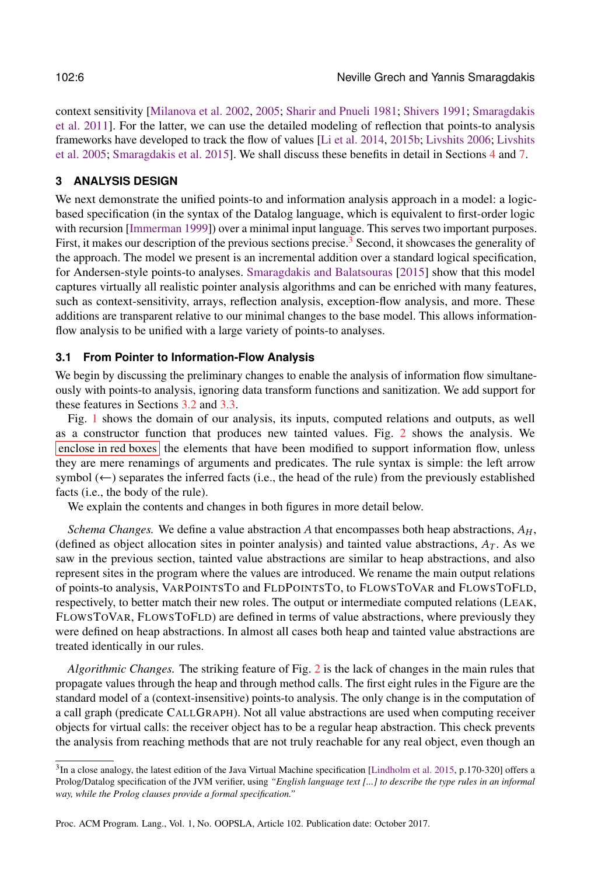context sensitivity [\[Milanova et al.](#page-26-10) [2002,](#page-26-10) [2005;](#page-26-11) [Sharir and Pnueli](#page-26-8) [1981;](#page-26-8) [Shivers](#page-26-9) [1991;](#page-26-9) [Smaragdakis](#page-26-12) [et al.](#page-26-12) [2011\]](#page-26-12). For the latter, we can use the detailed modeling of reflection that points-to analysis frameworks have developed to track the flow of values [\[Li et al.](#page-25-6) [2014,](#page-25-6) [2015b;](#page-25-7) [Livshits](#page-26-14) [2006;](#page-26-14) [Livshits](#page-26-15) [et al.](#page-26-15) [2005;](#page-26-15) [Smaragdakis et al.](#page-26-13) [2015\]](#page-26-13). We shall discuss these benefits in detail in Sections [4](#page-9-0) and [7.](#page-15-0)

## <span id="page-5-1"></span>**3 ANALYSIS DESIGN**

We next demonstrate the unified points-to and information analysis approach in a model: a logicbased specification (in the syntax of the Datalog language, which is equivalent to first-order logic with recursion [\[Immerman](#page-25-8) [1999\]](#page-25-8)) over a minimal input language. This serves two important purposes. First, it makes our description of the previous sections precise.<sup>[3](#page-5-0)</sup> Second, it showcases the generality of the approach. The model we present is an incremental addition over a standard logical specification, for Andersen-style points-to analyses. [Smaragdakis and Balatsouras](#page-26-16) [\[2015\]](#page-26-16) show that this model captures virtually all realistic pointer analysis algorithms and can be enriched with many features, such as context-sensitivity, arrays, reflection analysis, exception-flow analysis, and more. These additions are transparent relative to our minimal changes to the base model. This allows informationflow analysis to be unified with a large variety of points-to analyses.

## **3.1 From Pointer to Information-Flow Analysis**

We begin by discussing the preliminary changes to enable the analysis of information flow simultaneously with points-to analysis, ignoring data transform functions and sanitization. We add support for these features in Sections [3.2](#page-7-0) and [3.3.](#page-9-1)

Fig. [1](#page-6-0) shows the domain of our analysis, its inputs, computed relations and outputs, as well as a constructor function that produces new tainted values. Fig. [2](#page-7-1) shows the analysis. We enclose in red boxes the elements that have been modified to support information flow, unless they are mere renamings of arguments and predicates. The rule syntax is simple: the left arrow symbol  $(\leftarrow)$  separates the inferred facts (i.e., the head of the rule) from the previously established facts (i.e., the body of the rule).

We explain the contents and changes in both figures in more detail below.

*Schema Changes.* We define a value abstraction A that encompasses both heap abstractions,  $A_H$ , (defined as object allocation sites in pointer analysis) and tainted value abstractions,  $A_T$ . As we saw in the previous section, tainted value abstractions are similar to heap abstractions, and also represent sites in the program where the values are introduced. We rename the main output relations of points-to analysis, VARPOINTSTO and FLDPOINTSTO, to FLOWSTOVAR and FLOWSTOFLD, respectively, to better match their new roles. The output or intermediate computed relations (LEAK, FLOWSTOVAR, FLOWSTOFLD) are defined in terms of value abstractions, where previously they were defined on heap abstractions. In almost all cases both heap and tainted value abstractions are treated identically in our rules.

*Algorithmic Changes.* The striking feature of Fig. [2](#page-7-1) is the lack of changes in the main rules that propagate values through the heap and through method calls. The first eight rules in the Figure are the standard model of a (context-insensitive) points-to analysis. The only change is in the computation of a call graph (predicate CALLGRAPH). Not all value abstractions are used when computing receiver objects for virtual calls: the receiver object has to be a regular heap abstraction. This check prevents the analysis from reaching methods that are not truly reachable for any real object, even though an

<span id="page-5-0"></span> ${}^{3}$ In a close analogy, the latest edition of the Java Virtual Machine specification [\[Lindholm et al.](#page-26-17) [2015,](#page-26-17) p.170-320] offers a Prolog/Datalog specification of the JVM verifier, using *"English language text [...] to describe the type rules in an informal way, while the Prolog clauses provide a formal specification."*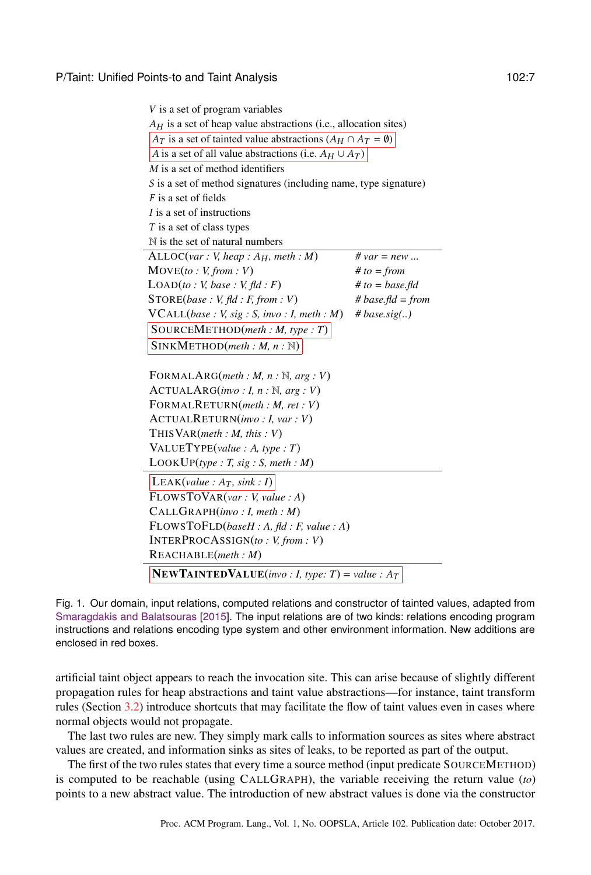<span id="page-6-0"></span>

| V is a set of program variables                                                                   |                   |  |  |  |  |
|---------------------------------------------------------------------------------------------------|-------------------|--|--|--|--|
| $A_H$ is a set of heap value abstractions (i.e., allocation sites)                                |                   |  |  |  |  |
| $A_T$ is a set of tainted value abstractions $(A_H \cap A_T = \emptyset)$                         |                   |  |  |  |  |
| A is a set of all value abstractions (i.e. $A_H \cup A_T$ )                                       |                   |  |  |  |  |
| $M$ is a set of method identifiers                                                                |                   |  |  |  |  |
| S is a set of method signatures (including name, type signature)                                  |                   |  |  |  |  |
| $F$ is a set of fields                                                                            |                   |  |  |  |  |
| <i>I</i> is a set of instructions                                                                 |                   |  |  |  |  |
| T is a set of class types                                                                         |                   |  |  |  |  |
| N is the set of natural numbers                                                                   |                   |  |  |  |  |
| $\overline{\text{ALLOC}(var : V, heap : A_H, meth : M)}$                                          | # var = new       |  |  |  |  |
| Move(to: V, from: V)                                                                              | # to = from       |  |  |  |  |
| LOAD(to: V, base: V, fld: F)                                                                      | # to = base.fld   |  |  |  |  |
| STOP (base : V, fld : F, from : V)                                                                | # base.fld = from |  |  |  |  |
| $VCALL(base : V, sig : S, invo : I, meth : M)$                                                    | # base.sig()      |  |  |  |  |
| SOURCEMETHOD(meth: $M$ , type: T)                                                                 |                   |  |  |  |  |
| SINKMETHOD(meth : M, n : N)                                                                       |                   |  |  |  |  |
| FORMALARG(meth: $M$ , $n : \mathbb{N}$ , arg: $V$ )                                               |                   |  |  |  |  |
| $ACTUALARG(invo: I, n: \mathbb{N}, arg: V)$                                                       |                   |  |  |  |  |
| FORMALRETURN(meth: M, ret: V)                                                                     |                   |  |  |  |  |
| ACTUALRETURN(invo: I, var: V)                                                                     |                   |  |  |  |  |
| THISVAR(meth: M, this: V)                                                                         |                   |  |  |  |  |
| VALUETYPE(value : A, type : T)                                                                    |                   |  |  |  |  |
| LOOKUP(type : T, sig : S, meth : M)                                                               |                   |  |  |  |  |
| $LEAK(value : A_T, sink : I)$                                                                     |                   |  |  |  |  |
| FLOWSTOVAR(var: V, value: A)                                                                      |                   |  |  |  |  |
| CALLGRAPH(invo: I, meth: M)                                                                       |                   |  |  |  |  |
| $FLOWSTOFLD(baseH : A, fld : F, value : A)$                                                       |                   |  |  |  |  |
| INTERPROCASSIGN(to: V, from: V)                                                                   |                   |  |  |  |  |
| REACHABLE(meth : M)                                                                               |                   |  |  |  |  |
| <b>NEWTAINTEDVALUE</b> ( <i>invo</i> : <i>I</i> , <i>type</i> : <i>T</i> ) = <i>value</i> : $A_T$ |                   |  |  |  |  |

Fig. 1. Our domain, input relations, computed relations and constructor of tainted values, adapted from [Smaragdakis and Balatsouras](#page-26-16) [\[2015\]](#page-26-16). The input relations are of two kinds: relations encoding program instructions and relations encoding type system and other environment information. New additions are enclosed in red boxes.

artificial taint object appears to reach the invocation site. This can arise because of slightly different propagation rules for heap abstractions and taint value abstractions—for instance, taint transform rules (Section [3.2\)](#page-7-0) introduce shortcuts that may facilitate the flow of taint values even in cases where normal objects would not propagate.

The last two rules are new. They simply mark calls to information sources as sites where abstract values are created, and information sinks as sites of leaks, to be reported as part of the output.

The first of the two rules states that every time a source method (input predicate SOURCEMETHOD) is computed to be reachable (using CALLGRAPH), the variable receiving the return value (*to*) points to a new abstract value. The introduction of new abstract values is done via the constructor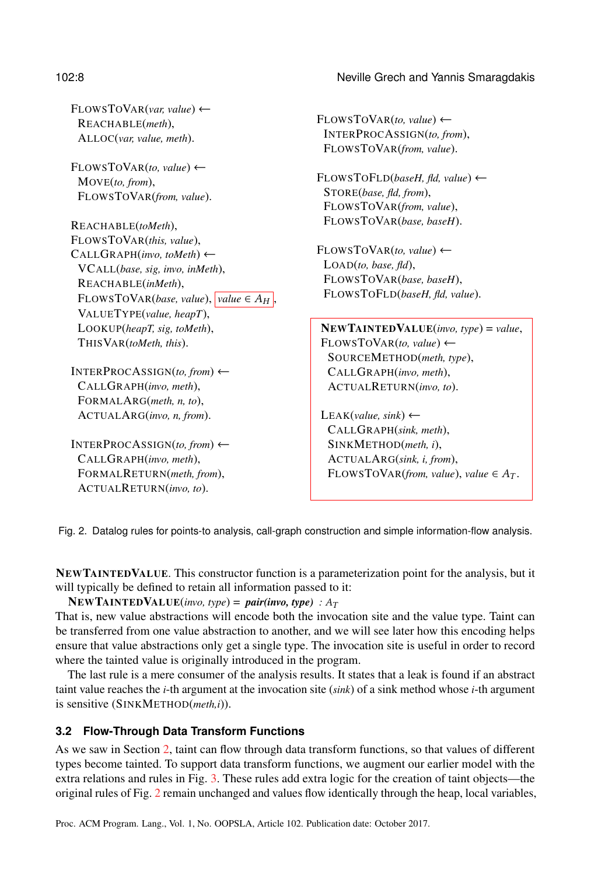### 102:8 Neville Grech and Yannis Smaragdakis

<span id="page-7-1"></span>FLOWSTOVAR(*var, value*) ← REACHABLE(*meth*), ALLOC(*var, value, meth*).

FLOWSTOVAR(*to, value*) ← MOVE(*to, from*), FLOWSTOVAR(*from, value*).

REACHABLE(*toMeth*), FLOWSTOVAR(*this, value*), CALLGRAPH(*invo, toMeth*) ← VCALL(*base, sig, invo, inMeth*), REACHABLE(*inMeth*),  $FLOWSTOVAR(*base*, *value*), *value* \in A<sub>H</sub>$ VALUETYPE(*value, heapT*), LOOKUP(*heapT, sig, toMeth*), THISVAR(*toMeth, this*).

INTERPROCASSIGN(*to, from*) ← CALLGRAPH(*invo, meth*), FORMALARG(*meth, n, to*), ACTUALARG(*invo, n, from*).

INTERPROCASSIGN(*to, from*) ← CALLGRAPH(*invo, meth*), FORMALRETURN(*meth, from*), ACTUALRETURN(*invo, to*).

FLOWSTOVAR(*to, value*) ← INTERPROCASSIGN(*to, from*), FLOWSTOVAR(*from, value*).

FLOWSTOFLD(*baseH, fld, value*) ← STORE(*base, fld, from*), FLOWSTOVAR(*from, value*), FLOWSTOVAR(*base, baseH*).

FLOWSTOVAR(*to, value*) ← LOAD(*to, base, fld*), FLOWSTOVAR(*base, baseH*), FLOWSTOFLD(*baseH, fld, value*).

NEWTAINTEDVALUE(*invo, type*) = *value*, FLOWSTOVAR(*to, value*) ← SOURCEMETHOD(*meth, type*), CALLGRAPH(*invo, meth*), ACTUALRETURN(*invo, to*).

LEAK(*value, sink*) ← CALLGRAPH(*sink, meth*), SINKMETHOD(*meth, i*), ACTUALARG(*sink, i, from*),  $FLOWSTOVAR(*from, value*), *value* \in A_T.$ 

Fig. 2. Datalog rules for points-to analysis, call-graph construction and simple information-flow analysis.

NEWTAINTEDVALUE. This constructor function is a parameterization point for the analysis, but it will typically be defined to retain all information passed to it:

**NEWTAINTEDVALUE**(*invo*, *type*) =  $pair(invo, type) : A_T$ That is, new value abstractions will encode both the invocation site and the value type. Taint can be transferred from one value abstraction to another, and we will see later how this encoding helps ensure that value abstractions only get a single type. The invocation site is useful in order to record where the tainted value is originally introduced in the program.

The last rule is a mere consumer of the analysis results. It states that a leak is found if an abstract taint value reaches the *i*-th argument at the invocation site (*sink*) of a sink method whose *i*-th argument is sensitive (SINKMETHOD(*meth,i*)).

## <span id="page-7-0"></span>**3.2 Flow-Through Data Transform Functions**

As we saw in Section [2,](#page-2-1) taint can flow through data transform functions, so that values of different types become tainted. To support data transform functions, we augment our earlier model with the extra relations and rules in Fig. [3.](#page-8-0) These rules add extra logic for the creation of taint objects—the original rules of Fig. [2](#page-7-1) remain unchanged and values flow identically through the heap, local variables,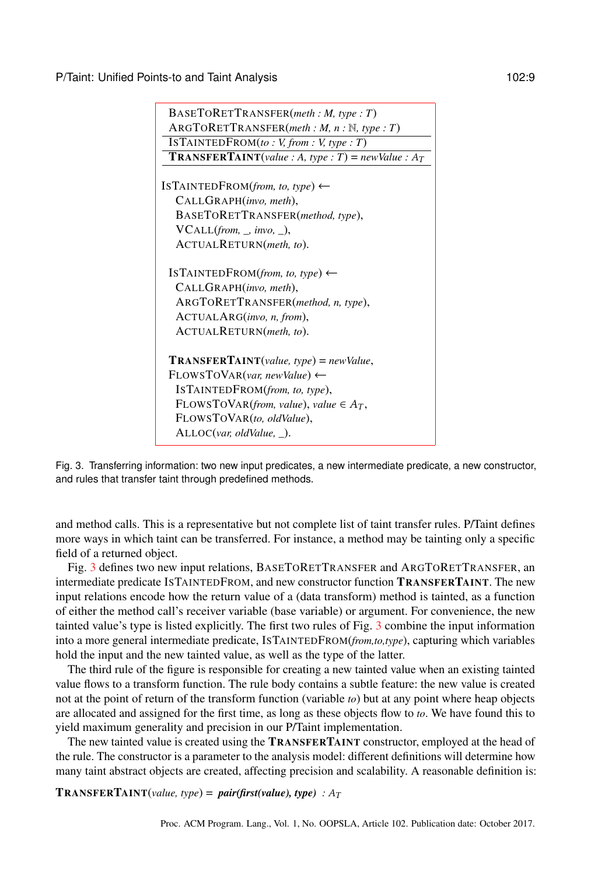<span id="page-8-0"></span>

| BASETORETTRANSFER(meth : M, type : T)                          |
|----------------------------------------------------------------|
| $\text{ARGTORETTRANSFER}(meth : M, n : \mathbb{N}, type : T)$  |
| ISTAINTEDFROM $(to : V, from : V, type : T)$                   |
| <b>TRANSFERTAINT</b> (value: A, type: $T$ ) = new Value: $A_T$ |
|                                                                |
| ISTAINTEDFROM(from, to, type) $\leftarrow$                     |
| CALLGRAPH(invo, meth),                                         |
| BASETORETTRANSFER(method, type),                               |
| $VCALL(from, \_, invo, \_),$                                   |
| ACTUALRETURN(meth, to).                                        |
|                                                                |
| ISTAINTEDFROM(from, to, type) $\leftarrow$                     |
| CALLGRAPH(invo, meth),                                         |
| ARGTORETTRANSFER(method, n, type),                             |
| ACTUALARG(invo, n, from),                                      |
| ACTUALRETURN(meth, to).                                        |
| $TRANSFERTAINT(value, type) = new Value,$                      |
| $FLOWSTOVAR(var, newValue) \leftarrow$                         |
| ISTAINTEDFROM(from, to, type),                                 |
| FLOWSTOVAR(from, value), value $\in A_T$ ,                     |
| FLOWSTOVAR(to, oldValue),                                      |
| $ALLOC(var, oldValue, )$ .                                     |
|                                                                |

Fig. 3. Transferring information: two new input predicates, a new intermediate predicate, a new constructor, and rules that transfer taint through predefined methods.

and method calls. This is a representative but not complete list of taint transfer rules. P/Taint defines more ways in which taint can be transferred. For instance, a method may be tainting only a specific field of a returned object.

Fig. [3](#page-8-0) defines two new input relations, BASETORETTRANSFER and ARGTORETTRANSFER, an intermediate predicate ISTAINTEDFROM, and new constructor function TRANSFERTAINT. The new input relations encode how the return value of a (data transform) method is tainted, as a function of either the method call's receiver variable (base variable) or argument. For convenience, the new tainted value's type is listed explicitly. The first two rules of Fig. [3](#page-8-0) combine the input information into a more general intermediate predicate, ISTAINTEDFROM(*from,to,type*), capturing which variables hold the input and the new tainted value, as well as the type of the latter.

The third rule of the figure is responsible for creating a new tainted value when an existing tainted value flows to a transform function. The rule body contains a subtle feature: the new value is created not at the point of return of the transform function (variable *to*) but at any point where heap objects are allocated and assigned for the first time, as long as these objects flow to *to*. We have found this to yield maximum generality and precision in our P/Taint implementation.

The new tainted value is created using the TRANSFERTAINT constructor, employed at the head of the rule. The constructor is a parameter to the analysis model: different definitions will determine how many taint abstract objects are created, affecting precision and scalability. A reasonable definition is:

**TRANSFERTAINT**(*value, type*) =  $pair(first(value), type) : A_T$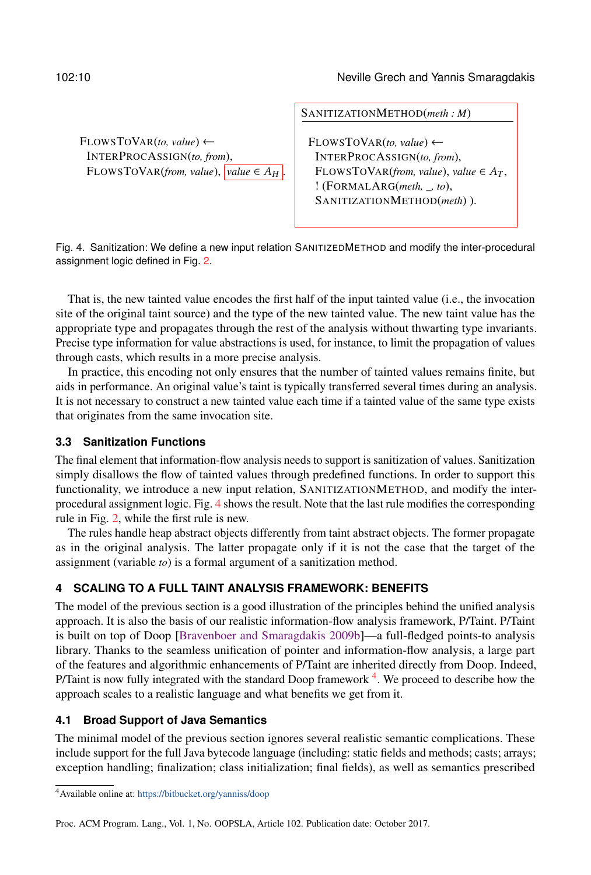```
FLOWSTOVAR(to, value) ←
 INTERPROCASSIGN(to, from),
 FLOWSTOVAR(<i>from</i>, value), value \in A<sub>H</sub>
```
SANITIZATIONMETHOD(*meth : M*)

FLOWSTOVAR(*to, value*) ← INTERPROCASSIGN(*to, from*),  $FLOWSTOVAR(*from*, *value*), *value* \in A_T$ , ! (FORMALARG(*meth, \_, to*), SANITIZATIONMETHOD(*meth*) ).

Fig. 4. Sanitization: We define a new input relation SANITIZEDMETHOD and modify the inter-procedural assignment logic defined in Fig. [2.](#page-7-1)

That is, the new tainted value encodes the first half of the input tainted value (i.e., the invocation site of the original taint source) and the type of the new tainted value. The new taint value has the appropriate type and propagates through the rest of the analysis without thwarting type invariants. Precise type information for value abstractions is used, for instance, to limit the propagation of values through casts, which results in a more precise analysis.

In practice, this encoding not only ensures that the number of tainted values remains finite, but aids in performance. An original value's taint is typically transferred several times during an analysis. It is not necessary to construct a new tainted value each time if a tainted value of the same type exists that originates from the same invocation site.

## <span id="page-9-1"></span>**3.3 Sanitization Functions**

The final element that information-flow analysis needs to support is sanitization of values. Sanitization simply disallows the flow of tainted values through predefined functions. In order to support this functionality, we introduce a new input relation, SANITIZATIONMETHOD, and modify the interprocedural assignment logic. Fig. [4](#page-9-2) shows the result. Note that the last rule modifies the corresponding rule in Fig. [2,](#page-7-1) while the first rule is new.

The rules handle heap abstract objects differently from taint abstract objects. The former propagate as in the original analysis. The latter propagate only if it is not the case that the target of the assignment (variable *to*) is a formal argument of a sanitization method.

## <span id="page-9-0"></span>**4 SCALING TO A FULL TAINT ANALYSIS FRAMEWORK: BENEFITS**

The model of the previous section is a good illustration of the principles behind the unified analysis approach. It is also the basis of our realistic information-flow analysis framework, P/Taint. P/Taint is built on top of Doop [\[Bravenboer and Smaragdakis](#page-25-5) [2009b\]](#page-25-5)—a full-fledged points-to analysis library. Thanks to the seamless unification of pointer and information-flow analysis, a large part of the features and algorithmic enhancements of P/Taint are inherited directly from Doop. Indeed, P/Taint is now fully integrated with the standard Doop framework <sup>[4](#page-9-3)</sup>. We proceed to describe how the approach scales to a realistic language and what benefits we get from it.

## **4.1 Broad Support of Java Semantics**

The minimal model of the previous section ignores several realistic semantic complications. These include support for the full Java bytecode language (including: static fields and methods; casts; arrays; exception handling; finalization; class initialization; final fields), as well as semantics prescribed

<span id="page-9-3"></span><sup>4</sup>Available online at: <https://bitbucket.org/yanniss/doop>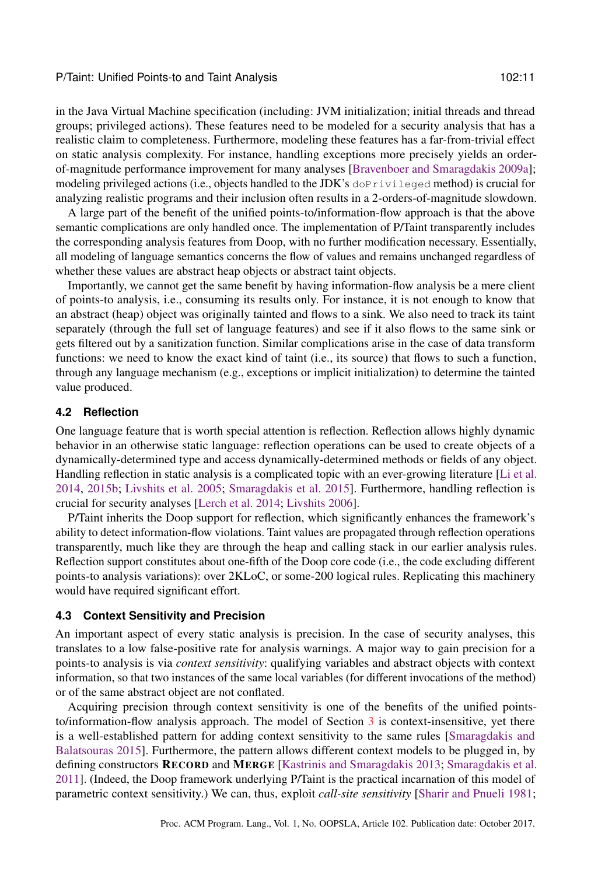in the Java Virtual Machine specification (including: JVM initialization; initial threads and thread groups; privileged actions). These features need to be modeled for a security analysis that has a realistic claim to completeness. Furthermore, modeling these features has a far-from-trivial effect on static analysis complexity. For instance, handling exceptions more precisely yields an orderof-magnitude performance improvement for many analyses [\[Bravenboer and Smaragdakis](#page-25-9) [2009a\]](#page-25-9); modeling privileged actions (i.e., objects handled to the JDK's doPrivileged method) is crucial for analyzing realistic programs and their inclusion often results in a 2-orders-of-magnitude slowdown.

A large part of the benefit of the unified points-to/information-flow approach is that the above semantic complications are only handled once. The implementation of P/Taint transparently includes the corresponding analysis features from Doop, with no further modification necessary. Essentially, all modeling of language semantics concerns the flow of values and remains unchanged regardless of whether these values are abstract heap objects or abstract taint objects.

Importantly, we cannot get the same benefit by having information-flow analysis be a mere client of points-to analysis, i.e., consuming its results only. For instance, it is not enough to know that an abstract (heap) object was originally tainted and flows to a sink. We also need to track its taint separately (through the full set of language features) and see if it also flows to the same sink or gets filtered out by a sanitization function. Similar complications arise in the case of data transform functions: we need to know the exact kind of taint (i.e., its source) that flows to such a function, through any language mechanism (e.g., exceptions or implicit initialization) to determine the tainted value produced.

#### **4.2 Reflection**

One language feature that is worth special attention is reflection. Reflection allows highly dynamic behavior in an otherwise static language: reflection operations can be used to create objects of a dynamically-determined type and access dynamically-determined methods or fields of any object. Handling reflection in static analysis is a complicated topic with an ever-growing literature [\[Li et al.](#page-25-6) [2014,](#page-25-6) [2015b;](#page-25-7) [Livshits et al.](#page-26-15) [2005;](#page-26-15) [Smaragdakis et al.](#page-26-13) [2015\]](#page-26-13). Furthermore, handling reflection is crucial for security analyses [\[Lerch et al.](#page-25-1) [2014;](#page-25-1) [Livshits](#page-26-14) [2006\]](#page-26-14).

P/Taint inherits the Doop support for reflection, which significantly enhances the framework's ability to detect information-flow violations. Taint values are propagated through reflection operations transparently, much like they are through the heap and calling stack in our earlier analysis rules. Reflection support constitutes about one-fifth of the Doop core code (i.e., the code excluding different points-to analysis variations): over 2KLoC, or some-200 logical rules. Replicating this machinery would have required significant effort.

#### <span id="page-10-0"></span>**4.3 Context Sensitivity and Precision**

An important aspect of every static analysis is precision. In the case of security analyses, this translates to a low false-positive rate for analysis warnings. A major way to gain precision for a points-to analysis is via *context sensitivity*: qualifying variables and abstract objects with context information, so that two instances of the same local variables (for different invocations of the method) or of the same abstract object are not conflated.

Acquiring precision through context sensitivity is one of the benefits of the unified pointsto/information-flow analysis approach. The model of Section [3](#page-5-1) is context-insensitive, yet there is a well-established pattern for adding context sensitivity to the same rules [\[Smaragdakis and](#page-26-16) [Balatsouras](#page-26-16) [2015\]](#page-26-16). Furthermore, the pattern allows different context models to be plugged in, by defining constructors RECORD and MERGE [\[Kastrinis and Smaragdakis](#page-25-10) [2013;](#page-25-10) [Smaragdakis et al.](#page-26-12) [2011\]](#page-26-12). (Indeed, the Doop framework underlying P/Taint is the practical incarnation of this model of parametric context sensitivity.) We can, thus, exploit *call-site sensitivity* [\[Sharir and Pnueli](#page-26-8) [1981;](#page-26-8)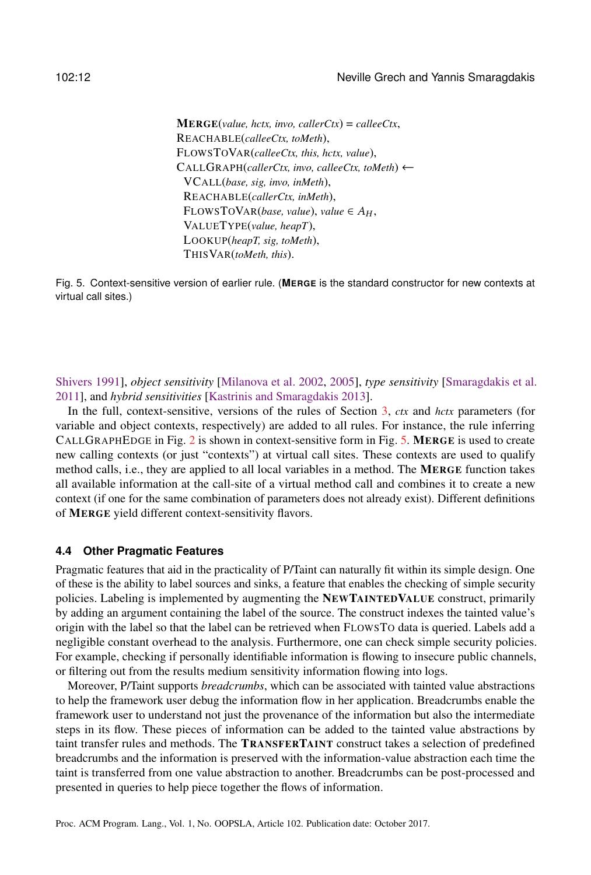<span id="page-11-0"></span> $MERGE(value, hctx, invo, callerCtx) = calleeCtx,$ REACHABLE(*calleeCtx, toMeth*), FLOWSTOVAR(*calleeCtx, this, hctx, value*), CALLGRAPH(*callerCtx, invo, calleeCtx, toMeth*) ← VCALL(*base, sig, invo, inMeth*), REACHABLE(*callerCtx, inMeth*),  $FLOWSTOVAR(*base*, *value*), *value* \in A<sub>H</sub>,$ VALUETYPE(*value, heapT*), LOOKUP(*heapT, sig, toMeth*), THISVAR(*toMeth, this*).

Fig. 5. Context-sensitive version of earlier rule. (**MERGE** is the standard constructor for new contexts at virtual call sites.)

[Shivers](#page-26-9) [1991\]](#page-26-9), *object sensitivity* [\[Milanova et al.](#page-26-10) [2002,](#page-26-10) [2005\]](#page-26-11), *type sensitivity* [\[Smaragdakis et al.](#page-26-12) [2011\]](#page-26-12), and *hybrid sensitivities* [\[Kastrinis and Smaragdakis](#page-25-10) [2013\]](#page-25-10).

In the full, context-sensitive, versions of the rules of Section [3,](#page-5-1) *ctx* and *hctx* parameters (for variable and object contexts, respectively) are added to all rules. For instance, the rule inferring CALLGRAPHEDGE in Fig. [2](#page-7-1) is shown in context-sensitive form in Fig. [5.](#page-11-0) MERGE is used to create new calling contexts (or just "contexts") at virtual call sites. These contexts are used to qualify method calls, i.e., they are applied to all local variables in a method. The MERGE function takes all available information at the call-site of a virtual method call and combines it to create a new context (if one for the same combination of parameters does not already exist). Different definitions of MERGE yield different context-sensitivity flavors.

#### **4.4 Other Pragmatic Features**

Pragmatic features that aid in the practicality of P/Taint can naturally fit within its simple design. One of these is the ability to label sources and sinks, a feature that enables the checking of simple security policies. Labeling is implemented by augmenting the NEWTAINTEDVALUE construct, primarily by adding an argument containing the label of the source. The construct indexes the tainted value's origin with the label so that the label can be retrieved when FLOWSTO data is queried. Labels add a negligible constant overhead to the analysis. Furthermore, one can check simple security policies. For example, checking if personally identifiable information is flowing to insecure public channels, or filtering out from the results medium sensitivity information flowing into logs.

Moreover, P/Taint supports *breadcrumbs*, which can be associated with tainted value abstractions to help the framework user debug the information flow in her application. Breadcrumbs enable the framework user to understand not just the provenance of the information but also the intermediate steps in its flow. These pieces of information can be added to the tainted value abstractions by taint transfer rules and methods. The TRANSFERTAINT construct takes a selection of predefined breadcrumbs and the information is preserved with the information-value abstraction each time the taint is transferred from one value abstraction to another. Breadcrumbs can be post-processed and presented in queries to help piece together the flows of information.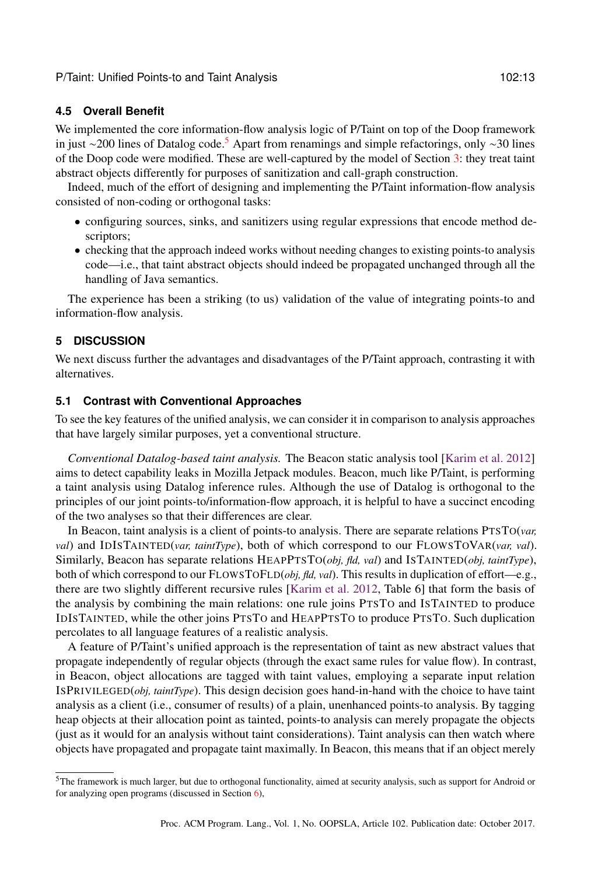#### **4.5 Overall Benefit**

We implemented the core information-flow analysis logic of P/Taint on top of the Doop framework in just ∼200 lines of Datalog code.[5](#page-12-0) Apart from renamings and simple refactorings, only ∼30 lines of the Doop code were modified. These are well-captured by the model of Section [3:](#page-5-1) they treat taint abstract objects differently for purposes of sanitization and call-graph construction.

Indeed, much of the effort of designing and implementing the P/Taint information-flow analysis consisted of non-coding or orthogonal tasks:

- configuring sources, sinks, and sanitizers using regular expressions that encode method descriptors;
- checking that the approach indeed works without needing changes to existing points-to analysis code—i.e., that taint abstract objects should indeed be propagated unchanged through all the handling of Java semantics.

The experience has been a striking (to us) validation of the value of integrating points-to and information-flow analysis.

#### **5 DISCUSSION**

We next discuss further the advantages and disadvantages of the P/Taint approach, contrasting it with alternatives.

## **5.1 Contrast with Conventional Approaches**

To see the key features of the unified analysis, we can consider it in comparison to analysis approaches that have largely similar purposes, yet a conventional structure.

*Conventional Datalog-based taint analysis.* The Beacon static analysis tool [\[Karim et al.](#page-25-11) [2012\]](#page-25-11) aims to detect capability leaks in Mozilla Jetpack modules. Beacon, much like P/Taint, is performing a taint analysis using Datalog inference rules. Although the use of Datalog is orthogonal to the principles of our joint points-to/information-flow approach, it is helpful to have a succinct encoding of the two analyses so that their differences are clear.

In Beacon, taint analysis is a client of points-to analysis. There are separate relations PTSTO(*var, val*) and IDISTAINTED(*var, taintType*), both of which correspond to our FLOWSTOVAR(*var, val*). Similarly, Beacon has separate relations HEAPPTSTO(*obj, fld, val*) and ISTAINTED(*obj, taintType*), both of which correspond to our FLOWSTOFLD(*obj, fld, val*). This results in duplication of effort—e.g., there are two slightly different recursive rules [\[Karim et al.](#page-25-11) [2012,](#page-25-11) Table 6] that form the basis of the analysis by combining the main relations: one rule joins PTSTO and ISTAINTED to produce IDISTAINTED, while the other joins PTSTO and HEAPPTSTO to produce PTSTO. Such duplication percolates to all language features of a realistic analysis.

A feature of P/Taint's unified approach is the representation of taint as new abstract values that propagate independently of regular objects (through the exact same rules for value flow). In contrast, in Beacon, object allocations are tagged with taint values, employing a separate input relation ISPRIVILEGED(*obj, taintType*). This design decision goes hand-in-hand with the choice to have taint analysis as a client (i.e., consumer of results) of a plain, unenhanced points-to analysis. By tagging heap objects at their allocation point as tainted, points-to analysis can merely propagate the objects (just as it would for an analysis without taint considerations). Taint analysis can then watch where objects have propagated and propagate taint maximally. In Beacon, this means that if an object merely

<span id="page-12-0"></span><sup>5</sup>The framework is much larger, but due to orthogonal functionality, aimed at security analysis, such as support for Android or for analyzing open programs (discussed in Section [6\)](#page-14-0),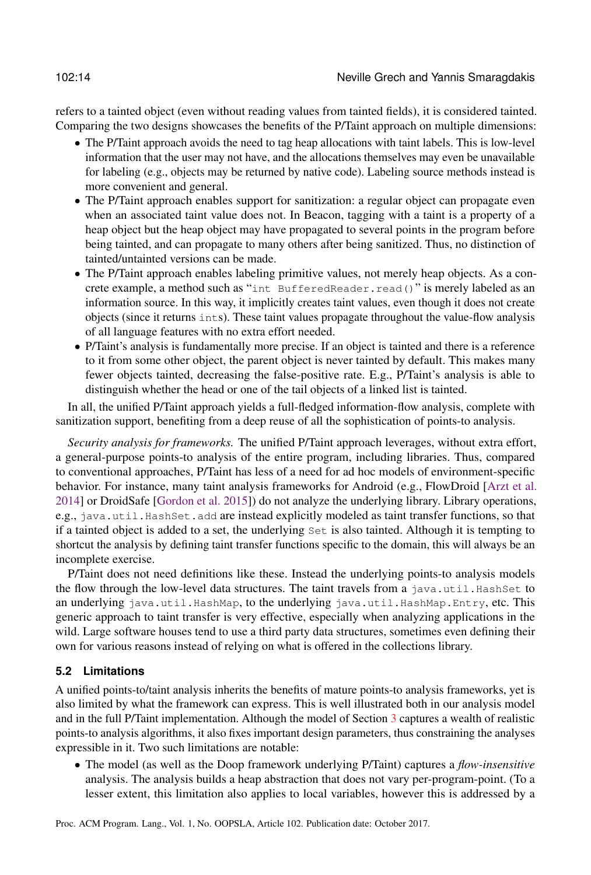refers to a tainted object (even without reading values from tainted fields), it is considered tainted. Comparing the two designs showcases the benefits of the P/Taint approach on multiple dimensions:

- The P/Taint approach avoids the need to tag heap allocations with taint labels. This is low-level information that the user may not have, and the allocations themselves may even be unavailable for labeling (e.g., objects may be returned by native code). Labeling source methods instead is more convenient and general.
- The P/Taint approach enables support for sanitization: a regular object can propagate even when an associated taint value does not. In Beacon, tagging with a taint is a property of a heap object but the heap object may have propagated to several points in the program before being tainted, and can propagate to many others after being sanitized. Thus, no distinction of tainted/untainted versions can be made.
- The P/Taint approach enables labeling primitive values, not merely heap objects. As a concrete example, a method such as "int BufferedReader.read()" is merely labeled as an information source. In this way, it implicitly creates taint values, even though it does not create objects (since it returns ints). These taint values propagate throughout the value-flow analysis of all language features with no extra effort needed.
- P/Taint's analysis is fundamentally more precise. If an object is tainted and there is a reference to it from some other object, the parent object is never tainted by default. This makes many fewer objects tainted, decreasing the false-positive rate. E.g., P/Taint's analysis is able to distinguish whether the head or one of the tail objects of a linked list is tainted.

In all, the unified P/Taint approach yields a full-fledged information-flow analysis, complete with sanitization support, benefiting from a deep reuse of all the sophistication of points-to analysis.

*Security analysis for frameworks.* The unified P/Taint approach leverages, without extra effort, a general-purpose points-to analysis of the entire program, including libraries. Thus, compared to conventional approaches, P/Taint has less of a need for ad hoc models of environment-specific behavior. For instance, many taint analysis frameworks for Android (e.g., FlowDroid [\[Arzt et al.](#page-24-0) [2014\]](#page-24-0) or DroidSafe [\[Gordon et al.](#page-25-12) [2015\]](#page-25-12)) do not analyze the underlying library. Library operations, e.g., java.util.HashSet.add are instead explicitly modeled as taint transfer functions, so that if a tainted object is added to a set, the underlying Set is also tainted. Although it is tempting to shortcut the analysis by defining taint transfer functions specific to the domain, this will always be an incomplete exercise.

P/Taint does not need definitions like these. Instead the underlying points-to analysis models the flow through the low-level data structures. The taint travels from a java.util.HashSet to an underlying java.util.HashMap, to the underlying java.util.HashMap.Entry, etc. This generic approach to taint transfer is very effective, especially when analyzing applications in the wild. Large software houses tend to use a third party data structures, sometimes even defining their own for various reasons instead of relying on what is offered in the collections library.

## **5.2 Limitations**

A unified points-to/taint analysis inherits the benefits of mature points-to analysis frameworks, yet is also limited by what the framework can express. This is well illustrated both in our analysis model and in the full P/Taint implementation. Although the model of Section [3](#page-5-1) captures a wealth of realistic points-to analysis algorithms, it also fixes important design parameters, thus constraining the analyses expressible in it. Two such limitations are notable:

• The model (as well as the Doop framework underlying P/Taint) captures a *flow-insensitive* analysis. The analysis builds a heap abstraction that does not vary per-program-point. (To a lesser extent, this limitation also applies to local variables, however this is addressed by a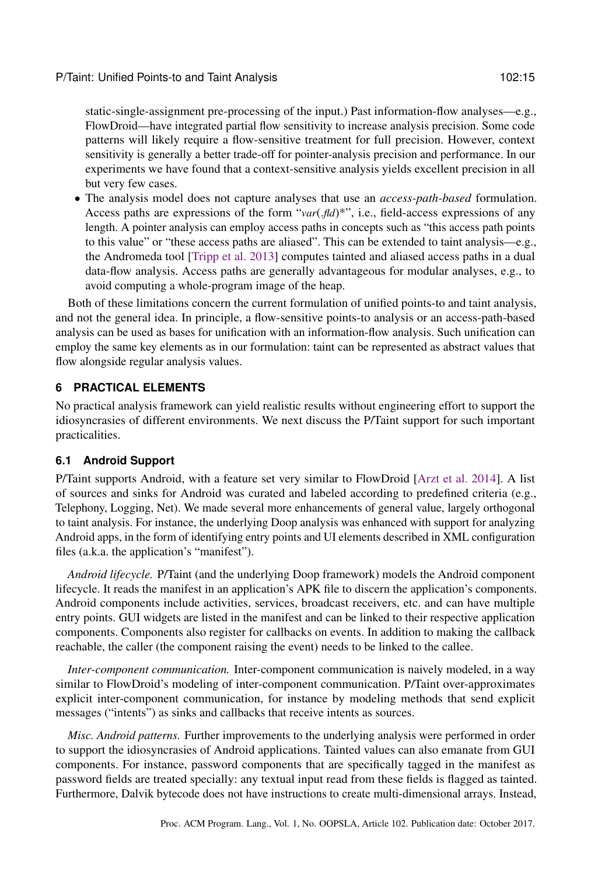static-single-assignment pre-processing of the input.) Past information-flow analyses—e.g., FlowDroid—have integrated partial flow sensitivity to increase analysis precision. Some code patterns will likely require a flow-sensitive treatment for full precision. However, context sensitivity is generally a better trade-off for pointer-analysis precision and performance. In our experiments we have found that a context-sensitive analysis yields excellent precision in all but very few cases.

• The analysis model does not capture analyses that use an *access-path-based* formulation. Access paths are expressions of the form "*var*(.*fld*)\*", i.e., field-access expressions of any length. A pointer analysis can employ access paths in concepts such as "this access path points to this value" or "these access paths are aliased". This can be extended to taint analysis—e.g., the Andromeda tool [\[Tripp et al.](#page-26-18) [2013\]](#page-26-18) computes tainted and aliased access paths in a dual data-flow analysis. Access paths are generally advantageous for modular analyses, e.g., to avoid computing a whole-program image of the heap.

Both of these limitations concern the current formulation of unified points-to and taint analysis, and not the general idea. In principle, a flow-sensitive points-to analysis or an access-path-based analysis can be used as bases for unification with an information-flow analysis. Such unification can employ the same key elements as in our formulation: taint can be represented as abstract values that flow alongside regular analysis values.

### <span id="page-14-0"></span>**6 PRACTICAL ELEMENTS**

No practical analysis framework can yield realistic results without engineering effort to support the idiosyncrasies of different environments. We next discuss the P/Taint support for such important practicalities.

#### **6.1 Android Support**

P/Taint supports Android, with a feature set very similar to FlowDroid [\[Arzt et al.](#page-24-0) [2014\]](#page-24-0). A list of sources and sinks for Android was curated and labeled according to predefined criteria (e.g., Telephony, Logging, Net). We made several more enhancements of general value, largely orthogonal to taint analysis. For instance, the underlying Doop analysis was enhanced with support for analyzing Android apps, in the form of identifying entry points and UI elements described in XML configuration files (a.k.a. the application's "manifest").

*Android lifecycle.* P/Taint (and the underlying Doop framework) models the Android component lifecycle. It reads the manifest in an application's APK file to discern the application's components. Android components include activities, services, broadcast receivers, etc. and can have multiple entry points. GUI widgets are listed in the manifest and can be linked to their respective application components. Components also register for callbacks on events. In addition to making the callback reachable, the caller (the component raising the event) needs to be linked to the callee.

*Inter-component communication.* Inter-component communication is naively modeled, in a way similar to FlowDroid's modeling of inter-component communication. P/Taint over-approximates explicit inter-component communication, for instance by modeling methods that send explicit messages ("intents") as sinks and callbacks that receive intents as sources.

*Misc. Android patterns.* Further improvements to the underlying analysis were performed in order to support the idiosyncrasies of Android applications. Tainted values can also emanate from GUI components. For instance, password components that are specifically tagged in the manifest as password fields are treated specially: any textual input read from these fields is flagged as tainted. Furthermore, Dalvik bytecode does not have instructions to create multi-dimensional arrays. Instead,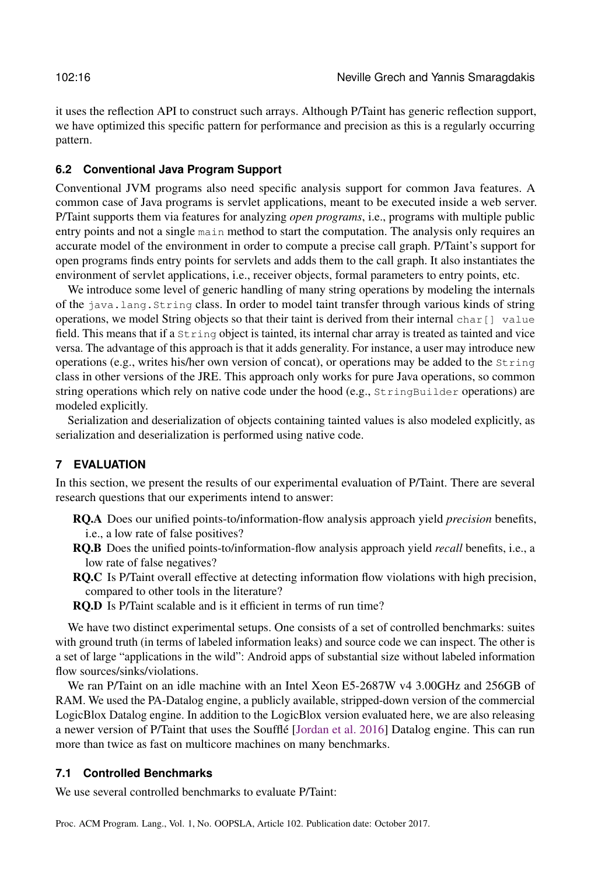it uses the reflection API to construct such arrays. Although P/Taint has generic reflection support, we have optimized this specific pattern for performance and precision as this is a regularly occurring pattern.

## **6.2 Conventional Java Program Support**

Conventional JVM programs also need specific analysis support for common Java features. A common case of Java programs is servlet applications, meant to be executed inside a web server. P/Taint supports them via features for analyzing *open programs*, i.e., programs with multiple public entry points and not a single main method to start the computation. The analysis only requires an accurate model of the environment in order to compute a precise call graph. P/Taint's support for open programs finds entry points for servlets and adds them to the call graph. It also instantiates the environment of servlet applications, i.e., receiver objects, formal parameters to entry points, etc.

We introduce some level of generic handling of many string operations by modeling the internals of the java.lang.String class. In order to model taint transfer through various kinds of string operations, we model String objects so that their taint is derived from their internal char[] value field. This means that if a String object is tainted, its internal char array is treated as tainted and vice versa. The advantage of this approach is that it adds generality. For instance, a user may introduce new operations (e.g., writes his/her own version of concat), or operations may be added to the String class in other versions of the JRE. This approach only works for pure Java operations, so common string operations which rely on native code under the hood (e.g., StringBuilder operations) are modeled explicitly.

Serialization and deserialization of objects containing tainted values is also modeled explicitly, as serialization and deserialization is performed using native code.

## <span id="page-15-0"></span>**7 EVALUATION**

In this section, we present the results of our experimental evaluation of P/Taint. There are several research questions that our experiments intend to answer:

- RQ.A Does our unified points-to/information-flow analysis approach yield *precision* benefits, i.e., a low rate of false positives?
- RQ.B Does the unified points-to/information-flow analysis approach yield *recall* benefits, i.e., a low rate of false negatives?
- RQ.C Is P/Taint overall effective at detecting information flow violations with high precision, compared to other tools in the literature?
- RQ.D Is P/Taint scalable and is it efficient in terms of run time?

We have two distinct experimental setups. One consists of a set of controlled benchmarks: suites with ground truth (in terms of labeled information leaks) and source code we can inspect. The other is a set of large "applications in the wild": Android apps of substantial size without labeled information flow sources/sinks/violations.

We ran P/Taint on an idle machine with an Intel Xeon E5-2687W v4 3.00GHz and 256GB of RAM. We used the PA-Datalog engine, a publicly available, stripped-down version of the commercial LogicBlox Datalog engine. In addition to the LogicBlox version evaluated here, we are also releasing a newer version of P/Taint that uses the Soufflé [\[Jordan et al.](#page-25-13) [2016\]](#page-25-13) Datalog engine. This can run more than twice as fast on multicore machines on many benchmarks.

## **7.1 Controlled Benchmarks**

We use several controlled benchmarks to evaluate P/Taint: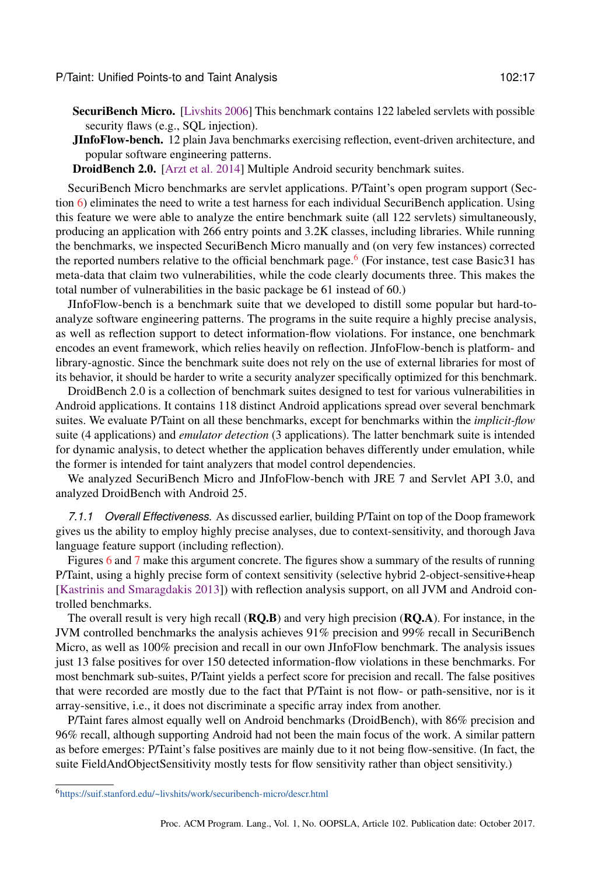SecuriBench Micro. [\[Livshits](#page-26-14) [2006\]](#page-26-14) This benchmark contains 122 labeled servlets with possible security flaws (e.g., SQL injection).

**JInfoFlow-bench.** 12 plain Java benchmarks exercising reflection, event-driven architecture, and popular software engineering patterns.

DroidBench 2.0. [\[Arzt et al.](#page-24-0) [2014\]](#page-24-0) Multiple Android security benchmark suites.

SecuriBench Micro benchmarks are servlet applications. P/Taint's open program support (Sec-tion [6\)](#page-14-0) eliminates the need to write a test harness for each individual SecuriBench application. Using this feature we were able to analyze the entire benchmark suite (all 122 servlets) simultaneously, producing an application with 266 entry points and 3.2K classes, including libraries. While running the benchmarks, we inspected SecuriBench Micro manually and (on very few instances) corrected the reported numbers relative to the official benchmark page.<sup>[6](#page-16-0)</sup> (For instance, test case Basic31 has meta-data that claim two vulnerabilities, while the code clearly documents three. This makes the total number of vulnerabilities in the basic package be 61 instead of 60.)

JInfoFlow-bench is a benchmark suite that we developed to distill some popular but hard-toanalyze software engineering patterns. The programs in the suite require a highly precise analysis, as well as reflection support to detect information-flow violations. For instance, one benchmark encodes an event framework, which relies heavily on reflection. JInfoFlow-bench is platform- and library-agnostic. Since the benchmark suite does not rely on the use of external libraries for most of its behavior, it should be harder to write a security analyzer specifically optimized for this benchmark.

DroidBench 2.0 is a collection of benchmark suites designed to test for various vulnerabilities in Android applications. It contains 118 distinct Android applications spread over several benchmark suites. We evaluate P/Taint on all these benchmarks, except for benchmarks within the *implicit-flow* suite (4 applications) and *emulator detection* (3 applications). The latter benchmark suite is intended for dynamic analysis, to detect whether the application behaves differently under emulation, while the former is intended for taint analyzers that model control dependencies.

We analyzed SecuriBench Micro and JInfoFlow-bench with JRE 7 and Servlet API 3.0, and analyzed DroidBench with Android 25.

*7.1.1 Overall Effectiveness.* As discussed earlier, building P/Taint on top of the Doop framework gives us the ability to employ highly precise analyses, due to context-sensitivity, and thorough Java language feature support (including reflection).

Figures [6](#page-17-0) and [7](#page-17-1) make this argument concrete. The figures show a summary of the results of running P/Taint, using a highly precise form of context sensitivity (selective hybrid 2-object-sensitive+heap [\[Kastrinis and Smaragdakis](#page-25-10) [2013\]](#page-25-10)) with reflection analysis support, on all JVM and Android controlled benchmarks.

The overall result is very high recall  $(RQ.B)$  and very high precision  $(RQ.A)$ . For instance, in the JVM controlled benchmarks the analysis achieves 91% precision and 99% recall in SecuriBench Micro, as well as 100% precision and recall in our own JInfoFlow benchmark. The analysis issues just 13 false positives for over 150 detected information-flow violations in these benchmarks. For most benchmark sub-suites, P/Taint yields a perfect score for precision and recall. The false positives that were recorded are mostly due to the fact that P/Taint is not flow- or path-sensitive, nor is it array-sensitive, i.e., it does not discriminate a specific array index from another.

P/Taint fares almost equally well on Android benchmarks (DroidBench), with 86% precision and 96% recall, although supporting Android had not been the main focus of the work. A similar pattern as before emerges: P/Taint's false positives are mainly due to it not being flow-sensitive. (In fact, the suite FieldAndObjectSensitivity mostly tests for flow sensitivity rather than object sensitivity.)

<span id="page-16-0"></span><sup>6</sup><https://suif.stanford.edu/~livshits/work/securibench-micro/descr.html>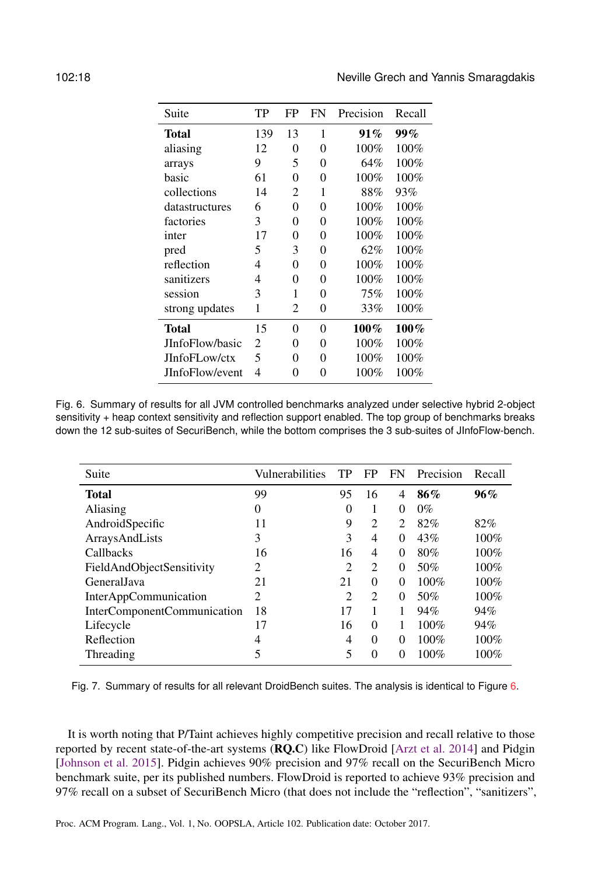<span id="page-17-0"></span>

| Suite           | TP  | FP       | FN | Precision | Recall  |
|-----------------|-----|----------|----|-----------|---------|
| Total           | 139 | 13       | 1  | 91 %      | 99 $\%$ |
| aliasing        | 12  | 0        | 0  | 100%      | 100%    |
| arrays          | 9   | 5        | 0  | 64%       | 100%    |
| basic           | 61  | 0        | 0  | $100\%$   | 100%    |
| collections     | 14  | 2        | 1  | 88%       | 93%     |
| datastructures  | 6   | 0        | 0  | 100%      | 100%    |
| factories       | 3   | 0        | 0  | 100%      | 100%    |
| inter           | 17  | 0        | 0  | 100%      | 100%    |
| pred            | 5   | 3        | 0  | 62%       | 100%    |
| reflection      | 4   | 0        | 0  | 100%      | 100%    |
| sanitizers      | 4   | 0        | 0  | 100%      | 100%    |
| session         | 3   | 1        | 0  | 75%       | 100%    |
| strong updates  | 1   | 2        | 0  | 33%       | 100%    |
| Total           | 15  | 0        | 0  | $100\%$   | $100\%$ |
| JInfoFlow/basic | 2   | $\Omega$ | 0  | 100%      | 100%    |
| JInfoFLow/ctx   | 5   | 0        | 0  | 100%      | 100%    |
| JInfoFlow/event | 4   | 0        | 0  | 100%      | 100%    |

Fig. 6. Summary of results for all JVM controlled benchmarks analyzed under selective hybrid 2-object sensitivity + heap context sensitivity and reflection support enabled. The top group of benchmarks breaks down the 12 sub-suites of SecuriBench, while the bottom comprises the 3 sub-suites of JInfoFlow-bench.

<span id="page-17-1"></span>

| Suite                       | Vulnerabilities | TP | FP       | FN             | Precision | Recall  |
|-----------------------------|-----------------|----|----------|----------------|-----------|---------|
| <b>Total</b>                | 99              | 95 | 16       | $\overline{4}$ | 86%       | 96%     |
| Aliasing                    | 0               | 0  |          | $\Omega$       | $0\%$     |         |
| AndroidSpecific             | 11              | 9  | 2        | 2              | 82%       | 82%     |
| ArraysAndLists              | 3               | 3  | 4        | $\Omega$       | 43%       | $100\%$ |
| Callbacks                   | 16              | 16 | 4        | $\Omega$       | 80%       | $100\%$ |
| FieldAndObjectSensitivity   | 2               | 2  | 2        | $\Omega$       | 50%       | 100%    |
| General Java                | 21              | 21 | 0        | $\Omega$       | 100%      | 100%    |
| InterAppCommunication       | 2               | 2  | 2        | $\Omega$       | 50%       | 100%    |
| InterComponentCommunication | 18              | 17 |          |                | 94%       | 94%     |
| Lifecycle                   | 17              | 16 | 0        |                | $100\%$   | 94%     |
| Reflection                  | 4               | 4  | $\Omega$ | $\Omega$       | 100%      | 100%    |
| Threading                   | 5               | 5  | 0        | $\Omega$       | 100%      | 100%    |

Fig. 7. Summary of results for all relevant DroidBench suites. The analysis is identical to Figure [6.](#page-17-0)

It is worth noting that P/Taint achieves highly competitive precision and recall relative to those reported by recent state-of-the-art systems (RQ.C) like FlowDroid [\[Arzt et al.](#page-24-0) [2014\]](#page-24-0) and Pidgin [\[Johnson et al.](#page-25-2) [2015\]](#page-25-2). Pidgin achieves 90% precision and 97% recall on the SecuriBench Micro benchmark suite, per its published numbers. FlowDroid is reported to achieve 93% precision and 97% recall on a subset of SecuriBench Micro (that does not include the "reflection", "sanitizers",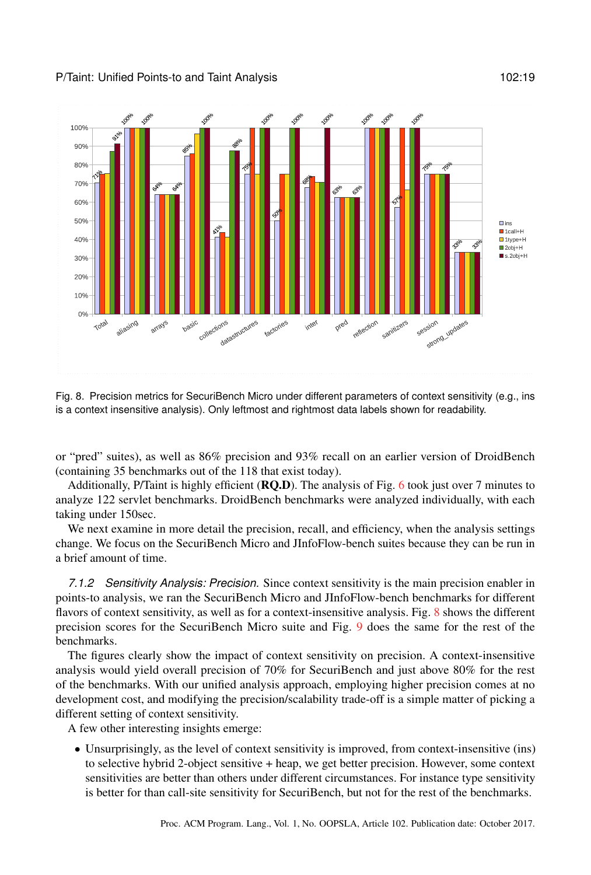collections

basic

datastructures

<span id="page-18-0"></span>100%

90% 80% 70%

60% 50%

40%

30% 20% 10%  $0%$ 

allasing

**Total** 

arrays



reflection

pred

inter

sanitizers

session

ssion updates

Fig. 8. Precision metrics for SecuriBench Micro under different parameters of context sensitivity (e.g., ins is a context insensitive analysis). Only leftmost and rightmost data labels shown for readability.

factories

or "pred" suites), as well as 86% precision and 93% recall on an earlier version of DroidBench (containing 35 benchmarks out of the 118 that exist today).

Additionally, P/Taint is highly efficient  $(RQ.D)$ . The analysis of Fig. [6](#page-17-0) took just over 7 minutes to analyze 122 servlet benchmarks. DroidBench benchmarks were analyzed individually, with each taking under 150sec.

We next examine in more detail the precision, recall, and efficiency, when the analysis settings change. We focus on the SecuriBench Micro and JInfoFlow-bench suites because they can be run in a brief amount of time.

*7.1.2 Sensitivity Analysis: Precision.* Since context sensitivity is the main precision enabler in points-to analysis, we ran the SecuriBench Micro and JInfoFlow-bench benchmarks for different flavors of context sensitivity, as well as for a context-insensitive analysis. Fig. [8](#page-18-0) shows the different precision scores for the SecuriBench Micro suite and Fig. [9](#page-19-0) does the same for the rest of the benchmarks.

The figures clearly show the impact of context sensitivity on precision. A context-insensitive analysis would yield overall precision of 70% for SecuriBench and just above 80% for the rest of the benchmarks. With our unified analysis approach, employing higher precision comes at no development cost, and modifying the precision/scalability trade-off is a simple matter of picking a different setting of context sensitivity.

A few other interesting insights emerge:

• Unsurprisingly, as the level of context sensitivity is improved, from context-insensitive (ins) to selective hybrid 2-object sensitive + heap, we get better precision. However, some context sensitivities are better than others under different circumstances. For instance type sensitivity is better for than call-site sensitivity for SecuriBench, but not for the rest of the benchmarks.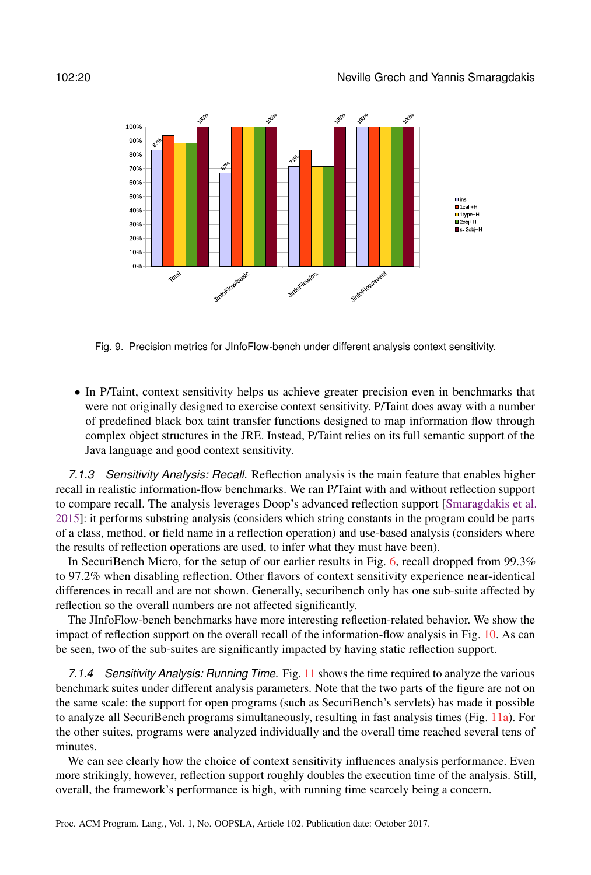<span id="page-19-0"></span>

Fig. 9. Precision metrics for JInfoFlow-bench under different analysis context sensitivity.

• In P/Taint, context sensitivity helps us achieve greater precision even in benchmarks that were not originally designed to exercise context sensitivity. P/Taint does away with a number of predefined black box taint transfer functions designed to map information flow through complex object structures in the JRE. Instead, P/Taint relies on its full semantic support of the Java language and good context sensitivity.

*7.1.3 Sensitivity Analysis: Recall.* Reflection analysis is the main feature that enables higher recall in realistic information-flow benchmarks. We ran P/Taint with and without reflection support to compare recall. The analysis leverages Doop's advanced reflection support [\[Smaragdakis et al.](#page-26-13) [2015\]](#page-26-13): it performs substring analysis (considers which string constants in the program could be parts of a class, method, or field name in a reflection operation) and use-based analysis (considers where the results of reflection operations are used, to infer what they must have been).

In SecuriBench Micro, for the setup of our earlier results in Fig. [6,](#page-17-0) recall dropped from 99.3% to 97.2% when disabling reflection. Other flavors of context sensitivity experience near-identical differences in recall and are not shown. Generally, securibench only has one sub-suite affected by reflection so the overall numbers are not affected significantly.

The JInfoFlow-bench benchmarks have more interesting reflection-related behavior. We show the impact of reflection support on the overall recall of the information-flow analysis in Fig. [10.](#page-20-0) As can be seen, two of the sub-suites are significantly impacted by having static reflection support.

*7.1.4 Sensitivity Analysis: Running Time.* Fig. [11](#page-20-1) shows the time required to analyze the various benchmark suites under different analysis parameters. Note that the two parts of the figure are not on the same scale: the support for open programs (such as SecuriBench's servlets) has made it possible to analyze all SecuriBench programs simultaneously, resulting in fast analysis times (Fig. [11a\)](#page-20-1). For the other suites, programs were analyzed individually and the overall time reached several tens of minutes.

We can see clearly how the choice of context sensitivity influences analysis performance. Even more strikingly, however, reflection support roughly doubles the execution time of the analysis. Still, overall, the framework's performance is high, with running time scarcely being a concern.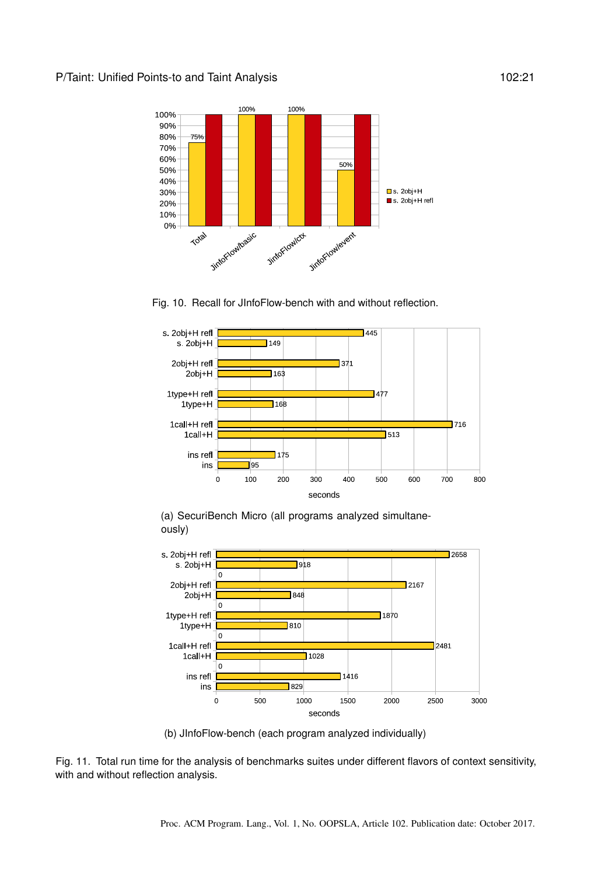<span id="page-20-0"></span>

Fig. 10. Recall for JInfoFlow-bench with and without reflection.

<span id="page-20-1"></span>





(b) JInfoFlow-bench (each program analyzed individually)

Fig. 11. Total run time for the analysis of benchmarks suites under different flavors of context sensitivity, with and without reflection analysis.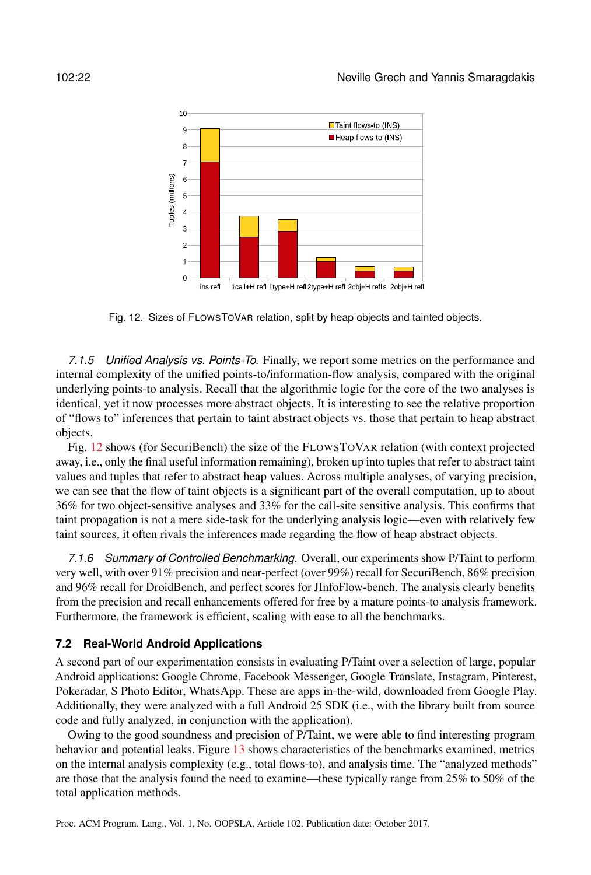<span id="page-21-0"></span>

Fig. 12. Sizes of FLOWSTOVAR relation, split by heap objects and tainted objects.

*7.1.5 Unified Analysis vs. Points-To.* Finally, we report some metrics on the performance and internal complexity of the unified points-to/information-flow analysis, compared with the original underlying points-to analysis. Recall that the algorithmic logic for the core of the two analyses is identical, yet it now processes more abstract objects. It is interesting to see the relative proportion of "flows to" inferences that pertain to taint abstract objects vs. those that pertain to heap abstract objects.

Fig. [12](#page-21-0) shows (for SecuriBench) the size of the FLOWSTOVAR relation (with context projected away, i.e., only the final useful information remaining), broken up into tuples that refer to abstract taint values and tuples that refer to abstract heap values. Across multiple analyses, of varying precision, we can see that the flow of taint objects is a significant part of the overall computation, up to about 36% for two object-sensitive analyses and 33% for the call-site sensitive analysis. This confirms that taint propagation is not a mere side-task for the underlying analysis logic—even with relatively few taint sources, it often rivals the inferences made regarding the flow of heap abstract objects.

*7.1.6 Summary of Controlled Benchmarking.* Overall, our experiments show P/Taint to perform very well, with over 91% precision and near-perfect (over 99%) recall for SecuriBench, 86% precision and 96% recall for DroidBench, and perfect scores for JInfoFlow-bench. The analysis clearly benefits from the precision and recall enhancements offered for free by a mature points-to analysis framework. Furthermore, the framework is efficient, scaling with ease to all the benchmarks.

#### **7.2 Real-World Android Applications**

A second part of our experimentation consists in evaluating P/Taint over a selection of large, popular Android applications: Google Chrome, Facebook Messenger, Google Translate, Instagram, Pinterest, Pokeradar, S Photo Editor, WhatsApp. These are apps in-the-wild, downloaded from Google Play. Additionally, they were analyzed with a full Android 25 SDK (i.e., with the library built from source code and fully analyzed, in conjunction with the application).

Owing to the good soundness and precision of P/Taint, we were able to find interesting program behavior and potential leaks. Figure [13](#page-22-0) shows characteristics of the benchmarks examined, metrics on the internal analysis complexity (e.g., total flows-to), and analysis time. The "analyzed methods" are those that the analysis found the need to examine—these typically range from 25% to 50% of the total application methods.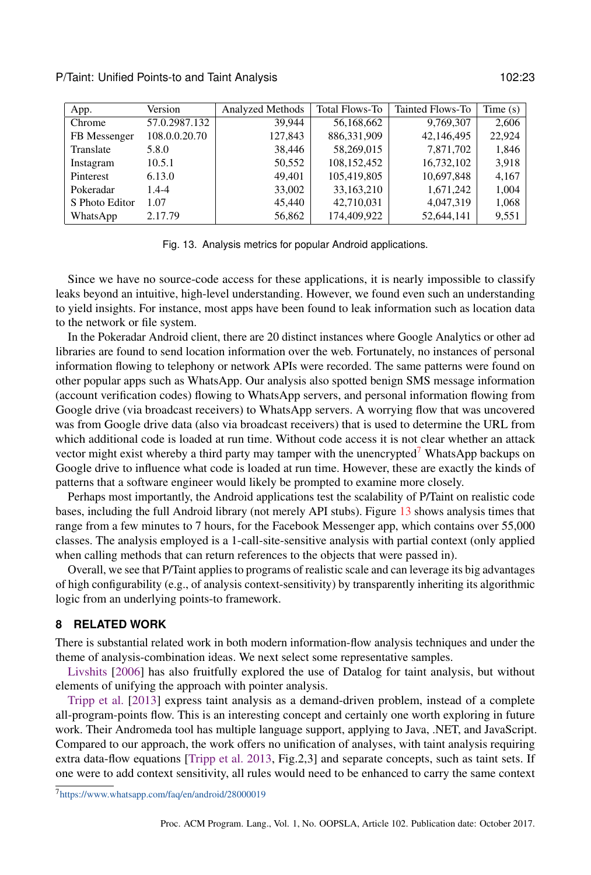<span id="page-22-0"></span>

| App.           | Version       | <b>Analyzed Methods</b> | <b>Total Flows-To</b> | Tainted Flows-To | Time $(s)$ |
|----------------|---------------|-------------------------|-----------------------|------------------|------------|
| Chrome         | 57.0.2987.132 | 39.944                  | 56,168,662            | 9,769,307        | 2,606      |
| FB Messenger   | 108.0.0.20.70 | 127,843                 | 886,331,909           | 42,146,495       | 22,924     |
| Translate      | 5.8.0         | 38.446                  | 58,269,015            | 7,871,702        | 1,846      |
| Instagram      | 10.5.1        | 50,552                  | 108,152,452           | 16,732,102       | 3,918      |
| Pinterest      | 6.13.0        | 49.401                  | 105,419,805           | 10,697,848       | 4,167      |
| Pokeradar      | $1.4 - 4$     | 33,002                  | 33,163,210            | 1,671,242        | 1,004      |
| S Photo Editor | 1.07          | 45,440                  | 42,710,031            | 4,047,319        | 1,068      |
| WhatsApp       | 2.17.79       | 56,862                  | 174,409,922           | 52,644,141       | 9,551      |

Fig. 13. Analysis metrics for popular Android applications.

Since we have no source-code access for these applications, it is nearly impossible to classify leaks beyond an intuitive, high-level understanding. However, we found even such an understanding to yield insights. For instance, most apps have been found to leak information such as location data to the network or file system.

In the Pokeradar Android client, there are 20 distinct instances where Google Analytics or other ad libraries are found to send location information over the web. Fortunately, no instances of personal information flowing to telephony or network APIs were recorded. The same patterns were found on other popular apps such as WhatsApp. Our analysis also spotted benign SMS message information (account verification codes) flowing to WhatsApp servers, and personal information flowing from Google drive (via broadcast receivers) to WhatsApp servers. A worrying flow that was uncovered was from Google drive data (also via broadcast receivers) that is used to determine the URL from which additional code is loaded at run time. Without code access it is not clear whether an attack vector might exist whereby a third party may tamper with the unencrypted<sup>[7](#page-22-1)</sup> WhatsApp backups on Google drive to influence what code is loaded at run time. However, these are exactly the kinds of patterns that a software engineer would likely be prompted to examine more closely.

Perhaps most importantly, the Android applications test the scalability of P/Taint on realistic code bases, including the full Android library (not merely API stubs). Figure [13](#page-22-0) shows analysis times that range from a few minutes to 7 hours, for the Facebook Messenger app, which contains over 55,000 classes. The analysis employed is a 1-call-site-sensitive analysis with partial context (only applied when calling methods that can return references to the objects that were passed in).

Overall, we see that P/Taint applies to programs of realistic scale and can leverage its big advantages of high configurability (e.g., of analysis context-sensitivity) by transparently inheriting its algorithmic logic from an underlying points-to framework.

#### **8 RELATED WORK**

There is substantial related work in both modern information-flow analysis techniques and under the theme of analysis-combination ideas. We next select some representative samples.

[Livshits](#page-26-14) [\[2006\]](#page-26-14) has also fruitfully explored the use of Datalog for taint analysis, but without elements of unifying the approach with pointer analysis.

[Tripp et al.](#page-26-18) [\[2013\]](#page-26-18) express taint analysis as a demand-driven problem, instead of a complete all-program-points flow. This is an interesting concept and certainly one worth exploring in future work. Their Andromeda tool has multiple language support, applying to Java, .NET, and JavaScript. Compared to our approach, the work offers no unification of analyses, with taint analysis requiring extra data-flow equations [\[Tripp et al.](#page-26-18) [2013,](#page-26-18) Fig.2,3] and separate concepts, such as taint sets. If one were to add context sensitivity, all rules would need to be enhanced to carry the same context

<span id="page-22-1"></span><sup>7</sup><https://www.whatsapp.com/faq/en/android/28000019>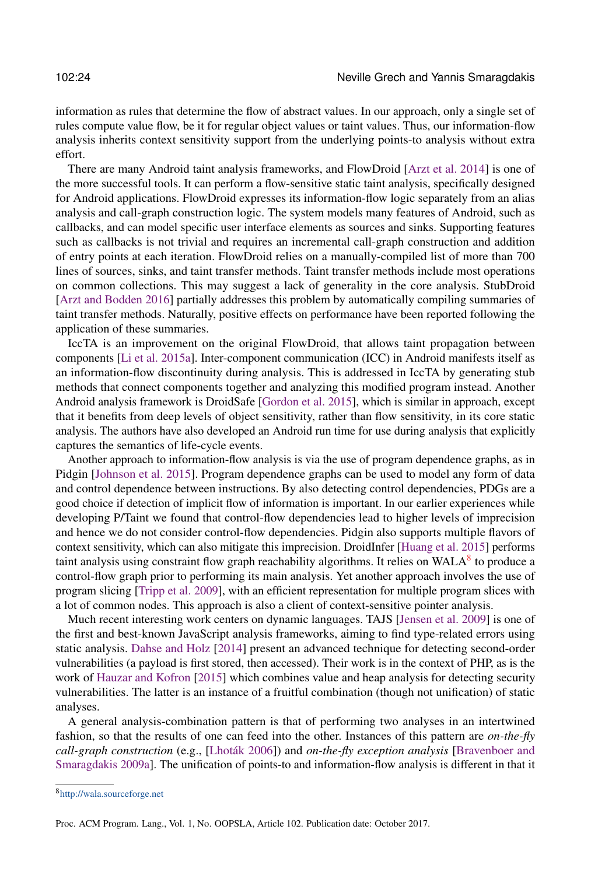information as rules that determine the flow of abstract values. In our approach, only a single set of rules compute value flow, be it for regular object values or taint values. Thus, our information-flow analysis inherits context sensitivity support from the underlying points-to analysis without extra effort.

There are many Android taint analysis frameworks, and FlowDroid [\[Arzt et al.](#page-24-0) [2014\]](#page-24-0) is one of the more successful tools. It can perform a flow-sensitive static taint analysis, specifically designed for Android applications. FlowDroid expresses its information-flow logic separately from an alias analysis and call-graph construction logic. The system models many features of Android, such as callbacks, and can model specific user interface elements as sources and sinks. Supporting features such as callbacks is not trivial and requires an incremental call-graph construction and addition of entry points at each iteration. FlowDroid relies on a manually-compiled list of more than 700 lines of sources, sinks, and taint transfer methods. Taint transfer methods include most operations on common collections. This may suggest a lack of generality in the core analysis. StubDroid [\[Arzt and Bodden](#page-24-1) [2016\]](#page-24-1) partially addresses this problem by automatically compiling summaries of taint transfer methods. Naturally, positive effects on performance have been reported following the application of these summaries.

IccTA is an improvement on the original FlowDroid, that allows taint propagation between components [\[Li et al.](#page-25-14) [2015a\]](#page-25-14). Inter-component communication (ICC) in Android manifests itself as an information-flow discontinuity during analysis. This is addressed in IccTA by generating stub methods that connect components together and analyzing this modified program instead. Another Android analysis framework is DroidSafe [\[Gordon et al.](#page-25-12) [2015\]](#page-25-12), which is similar in approach, except that it benefits from deep levels of object sensitivity, rather than flow sensitivity, in its core static analysis. The authors have also developed an Android run time for use during analysis that explicitly captures the semantics of life-cycle events.

Another approach to information-flow analysis is via the use of program dependence graphs, as in Pidgin [\[Johnson et al.](#page-25-2) [2015\]](#page-25-2). Program dependence graphs can be used to model any form of data and control dependence between instructions. By also detecting control dependencies, PDGs are a good choice if detection of implicit flow of information is important. In our earlier experiences while developing P/Taint we found that control-flow dependencies lead to higher levels of imprecision and hence we do not consider control-flow dependencies. Pidgin also supports multiple flavors of context sensitivity, which can also mitigate this imprecision. DroidInfer [\[Huang et al.](#page-25-0) [2015\]](#page-25-0) performs taint analysis using constraint flow graph reachability algorithms. It relies on WALA $^8$  $^8$  to produce a control-flow graph prior to performing its main analysis. Yet another approach involves the use of program slicing [\[Tripp et al.](#page-26-0) [2009\]](#page-26-0), with an efficient representation for multiple program slices with a lot of common nodes. This approach is also a client of context-sensitive pointer analysis.

Much recent interesting work centers on dynamic languages. TAJS [\[Jensen et al.](#page-25-15) [2009\]](#page-25-15) is one of the first and best-known JavaScript analysis frameworks, aiming to find type-related errors using static analysis. [Dahse and Holz](#page-25-16) [\[2014\]](#page-25-16) present an advanced technique for detecting second-order vulnerabilities (a payload is first stored, then accessed). Their work is in the context of PHP, as is the work of [Hauzar and Kofron](#page-25-17) [\[2015\]](#page-25-17) which combines value and heap analysis for detecting security vulnerabilities. The latter is an instance of a fruitful combination (though not unification) of static analyses.

A general analysis-combination pattern is that of performing two analyses in an intertwined fashion, so that the results of one can feed into the other. Instances of this pattern are *on-the-fly call-graph construction* (e.g., [\[Lhoták](#page-25-18) [2006\]](#page-25-18)) and *on-the-fly exception analysis* [\[Bravenboer and](#page-25-9) [Smaragdakis](#page-25-9) [2009a\]](#page-25-9). The unification of points-to and information-flow analysis is different in that it

<span id="page-23-0"></span><sup>8</sup><http://wala.sourceforge.net>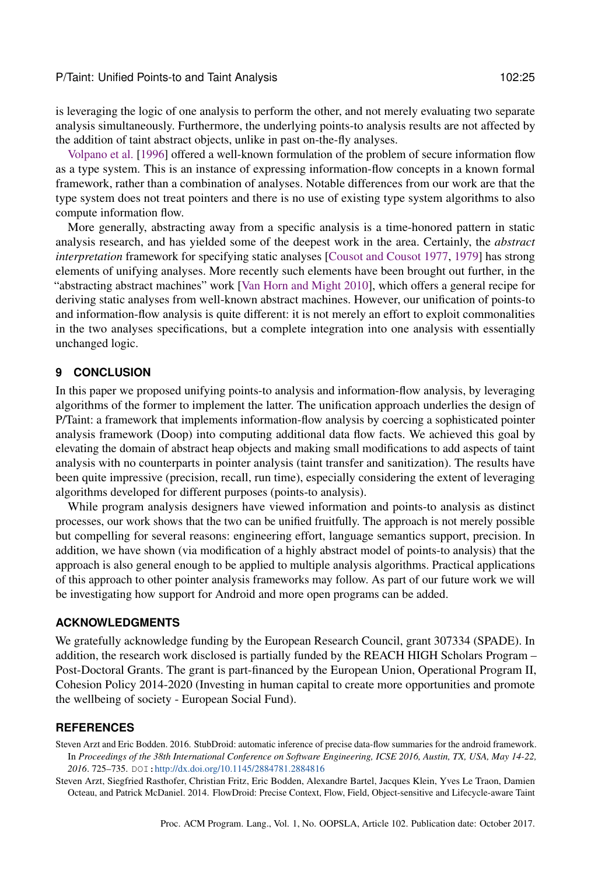is leveraging the logic of one analysis to perform the other, and not merely evaluating two separate analysis simultaneously. Furthermore, the underlying points-to analysis results are not affected by the addition of taint abstract objects, unlike in past on-the-fly analyses.

[Volpano et al.](#page-26-19) [\[1996\]](#page-26-19) offered a well-known formulation of the problem of secure information flow as a type system. This is an instance of expressing information-flow concepts in a known formal framework, rather than a combination of analyses. Notable differences from our work are that the type system does not treat pointers and there is no use of existing type system algorithms to also compute information flow.

More generally, abstracting away from a specific analysis is a time-honored pattern in static analysis research, and has yielded some of the deepest work in the area. Certainly, the *abstract interpretation* framework for specifying static analyses [\[Cousot and Cousot](#page-25-19) [1977,](#page-25-19) [1979\]](#page-25-20) has strong elements of unifying analyses. More recently such elements have been brought out further, in the "abstracting abstract machines" work [\[Van Horn and Might](#page-26-20) [2010\]](#page-26-20), which offers a general recipe for deriving static analyses from well-known abstract machines. However, our unification of points-to and information-flow analysis is quite different: it is not merely an effort to exploit commonalities in the two analyses specifications, but a complete integration into one analysis with essentially unchanged logic.

#### **9 CONCLUSION**

In this paper we proposed unifying points-to analysis and information-flow analysis, by leveraging algorithms of the former to implement the latter. The unification approach underlies the design of P/Taint: a framework that implements information-flow analysis by coercing a sophisticated pointer analysis framework (Doop) into computing additional data flow facts. We achieved this goal by elevating the domain of abstract heap objects and making small modifications to add aspects of taint analysis with no counterparts in pointer analysis (taint transfer and sanitization). The results have been quite impressive (precision, recall, run time), especially considering the extent of leveraging algorithms developed for different purposes (points-to analysis).

While program analysis designers have viewed information and points-to analysis as distinct processes, our work shows that the two can be unified fruitfully. The approach is not merely possible but compelling for several reasons: engineering effort, language semantics support, precision. In addition, we have shown (via modification of a highly abstract model of points-to analysis) that the approach is also general enough to be applied to multiple analysis algorithms. Practical applications of this approach to other pointer analysis frameworks may follow. As part of our future work we will be investigating how support for Android and more open programs can be added.

#### **ACKNOWLEDGMENTS**

We gratefully acknowledge funding by the European Research Council, grant 307334 (SPADE). In addition, the research work disclosed is partially funded by the REACH HIGH Scholars Program – Post-Doctoral Grants. The grant is part-financed by the European Union, Operational Program II, Cohesion Policy 2014-2020 (Investing in human capital to create more opportunities and promote the wellbeing of society - European Social Fund).

#### **REFERENCES**

<span id="page-24-1"></span>Steven Arzt and Eric Bodden. 2016. StubDroid: automatic inference of precise data-flow summaries for the android framework. In *Proceedings of the 38th International Conference on Software Engineering, ICSE 2016, Austin, TX, USA, May 14-22, 2016*. 725–735. DOI:<http://dx.doi.org/10.1145/2884781.2884816>

<span id="page-24-0"></span>Steven Arzt, Siegfried Rasthofer, Christian Fritz, Eric Bodden, Alexandre Bartel, Jacques Klein, Yves Le Traon, Damien Octeau, and Patrick McDaniel. 2014. FlowDroid: Precise Context, Flow, Field, Object-sensitive and Lifecycle-aware Taint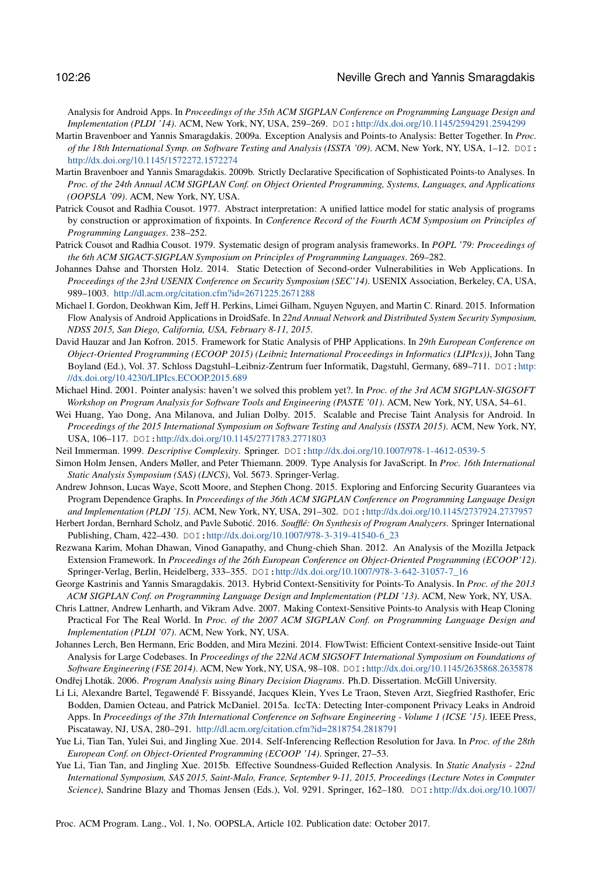Analysis for Android Apps. In *Proceedings of the 35th ACM SIGPLAN Conference on Programming Language Design and Implementation (PLDI '14)*. ACM, New York, NY, USA, 259–269. DOI:<http://dx.doi.org/10.1145/2594291.2594299>

- <span id="page-25-9"></span>Martin Bravenboer and Yannis Smaragdakis. 2009a. Exception Analysis and Points-to Analysis: Better Together. In *Proc. of the 18th International Symp. on Software Testing and Analysis (ISSTA '09)*. ACM, New York, NY, USA, 1–12. DOI: <http://dx.doi.org/10.1145/1572272.1572274>
- <span id="page-25-5"></span>Martin Bravenboer and Yannis Smaragdakis. 2009b. Strictly Declarative Specification of Sophisticated Points-to Analyses. In *Proc. of the 24th Annual ACM SIGPLAN Conf. on Object Oriented Programming, Systems, Languages, and Applications (OOPSLA '09)*. ACM, New York, NY, USA.
- <span id="page-25-19"></span>Patrick Cousot and Radhia Cousot. 1977. Abstract interpretation: A unified lattice model for static analysis of programs by construction or approximation of fixpoints. In *Conference Record of the Fourth ACM Symposium on Principles of Programming Languages*. 238–252.
- <span id="page-25-20"></span>Patrick Cousot and Radhia Cousot. 1979. Systematic design of program analysis frameworks. In *POPL '79: Proceedings of the 6th ACM SIGACT-SIGPLAN Symposium on Principles of Programming Languages*. 269–282.
- <span id="page-25-16"></span>Johannes Dahse and Thorsten Holz. 2014. Static Detection of Second-order Vulnerabilities in Web Applications. In *Proceedings of the 23rd USENIX Conference on Security Symposium (SEC'14)*. USENIX Association, Berkeley, CA, USA, 989–1003. <http://dl.acm.org/citation.cfm?id=2671225.2671288>
- <span id="page-25-12"></span>Michael I. Gordon, Deokhwan Kim, Jeff H. Perkins, Limei Gilham, Nguyen Nguyen, and Martin C. Rinard. 2015. Information Flow Analysis of Android Applications in DroidSafe. In *22nd Annual Network and Distributed System Security Symposium, NDSS 2015, San Diego, California, USA, February 8-11, 2015*.
- <span id="page-25-17"></span>David Hauzar and Jan Kofron. 2015. Framework for Static Analysis of PHP Applications. In *29th European Conference on Object-Oriented Programming (ECOOP 2015) (Leibniz International Proceedings in Informatics (LIPIcs))*, John Tang Boyland (Ed.), Vol. 37. Schloss Dagstuhl–Leibniz-Zentrum fuer Informatik, Dagstuhl, Germany, 689–711. DOI:[http:](http://dx.doi.org/10.4230/LIPIcs.ECOOP.2015.689) [//dx.doi.org/10.4230/LIPIcs.ECOOP.2015.689](http://dx.doi.org/10.4230/LIPIcs.ECOOP.2015.689)
- <span id="page-25-3"></span>Michael Hind. 2001. Pointer analysis: haven't we solved this problem yet?. In *Proc. of the 3rd ACM SIGPLAN-SIGSOFT Workshop on Program Analysis for Software Tools and Engineering (PASTE '01)*. ACM, New York, NY, USA, 54–61.
- <span id="page-25-0"></span>Wei Huang, Yao Dong, Ana Milanova, and Julian Dolby. 2015. Scalable and Precise Taint Analysis for Android. In *Proceedings of the 2015 International Symposium on Software Testing and Analysis (ISSTA 2015)*. ACM, New York, NY, USA, 106–117. DOI:<http://dx.doi.org/10.1145/2771783.2771803>
- <span id="page-25-8"></span>Neil Immerman. 1999. *Descriptive Complexity*. Springer. DOI:<http://dx.doi.org/10.1007/978-1-4612-0539-5>
- <span id="page-25-15"></span>Simon Holm Jensen, Anders Møller, and Peter Thiemann. 2009. Type Analysis for JavaScript. In *Proc. 16th International Static Analysis Symposium (SAS) (LNCS)*, Vol. 5673. Springer-Verlag.
- <span id="page-25-2"></span>Andrew Johnson, Lucas Waye, Scott Moore, and Stephen Chong. 2015. Exploring and Enforcing Security Guarantees via Program Dependence Graphs. In *Proceedings of the 36th ACM SIGPLAN Conference on Programming Language Design and Implementation (PLDI '15)*. ACM, New York, NY, USA, 291–302. DOI:<http://dx.doi.org/10.1145/2737924.2737957>
- <span id="page-25-13"></span>Herbert Jordan, Bernhard Scholz, and Pavle Subotić. 2016. Soufflé: On Synthesis of Program Analyzers. Springer International Publishing, Cham, 422–430. DOI:[http://dx.doi.org/10.1007/978-3-319-41540-6\\_23](http://dx.doi.org/10.1007/978-3-319-41540-6_23)
- <span id="page-25-11"></span>Rezwana Karim, Mohan Dhawan, Vinod Ganapathy, and Chung-chieh Shan. 2012. An Analysis of the Mozilla Jetpack Extension Framework. In *Proceedings of the 26th European Conference on Object-Oriented Programming (ECOOP'12)*. Springer-Verlag, Berlin, Heidelberg, 333–355. DOI:[http://dx.doi.org/10.1007/978-3-642-31057-7\\_16](http://dx.doi.org/10.1007/978-3-642-31057-7_16)
- <span id="page-25-10"></span>George Kastrinis and Yannis Smaragdakis. 2013. Hybrid Context-Sensitivity for Points-To Analysis. In *Proc. of the 2013 ACM SIGPLAN Conf. on Programming Language Design and Implementation (PLDI '13)*. ACM, New York, NY, USA.
- <span id="page-25-4"></span>Chris Lattner, Andrew Lenharth, and Vikram Adve. 2007. Making Context-Sensitive Points-to Analysis with Heap Cloning Practical For The Real World. In *Proc. of the 2007 ACM SIGPLAN Conf. on Programming Language Design and Implementation (PLDI '07)*. ACM, New York, NY, USA.
- <span id="page-25-1"></span>Johannes Lerch, Ben Hermann, Eric Bodden, and Mira Mezini. 2014. FlowTwist: Efficient Context-sensitive Inside-out Taint Analysis for Large Codebases. In *Proceedings of the 22Nd ACM SIGSOFT International Symposium on Foundations of Software Engineering (FSE 2014)*. ACM, New York, NY, USA, 98–108. DOI:<http://dx.doi.org/10.1145/2635868.2635878>

<span id="page-25-18"></span>Ondřej Lhoták. 2006. Program Analysis using Binary Decision Diagrams. Ph.D. Dissertation. McGill University.

- <span id="page-25-14"></span>Li Li, Alexandre Bartel, Tegawendé F. Bissyandé, Jacques Klein, Yves Le Traon, Steven Arzt, Siegfried Rasthofer, Eric Bodden, Damien Octeau, and Patrick McDaniel. 2015a. IccTA: Detecting Inter-component Privacy Leaks in Android Apps. In *Proceedings of the 37th International Conference on Software Engineering - Volume 1 (ICSE '15)*. IEEE Press, Piscataway, NJ, USA, 280–291. <http://dl.acm.org/citation.cfm?id=2818754.2818791>
- <span id="page-25-6"></span>Yue Li, Tian Tan, Yulei Sui, and Jingling Xue. 2014. Self-Inferencing Reflection Resolution for Java. In *Proc. of the 28th European Conf. on Object-Oriented Programming (ECOOP '14)*. Springer, 27–53.
- <span id="page-25-7"></span>Yue Li, Tian Tan, and Jingling Xue. 2015b. Effective Soundness-Guided Reflection Analysis. In *Static Analysis - 22nd International Symposium, SAS 2015, Saint-Malo, France, September 9-11, 2015, Proceedings (Lecture Notes in Computer Science)*, Sandrine Blazy and Thomas Jensen (Eds.), Vol. 9291. Springer, 162–180. DOI:[http://dx.doi.org/10.1007/](http://dx.doi.org/10.1007/978-3-662-48288-9_10)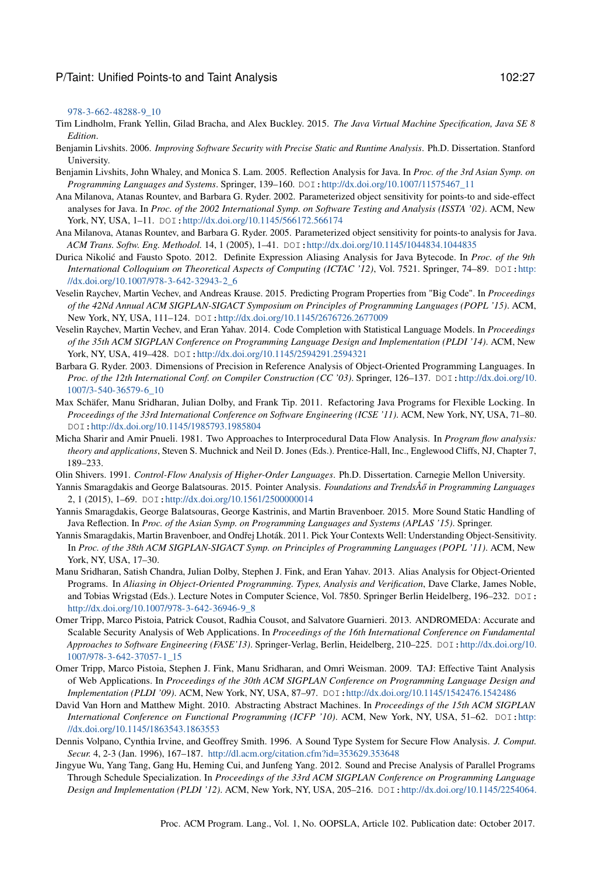[978-3-662-48288-9\\_10](http://dx.doi.org/10.1007/978-3-662-48288-9_10)

- <span id="page-26-17"></span>Tim Lindholm, Frank Yellin, Gilad Bracha, and Alex Buckley. 2015. *The Java Virtual Machine Specification, Java SE 8 Edition*.
- <span id="page-26-14"></span>Benjamin Livshits. 2006. *Improving Software Security with Precise Static and Runtime Analysis*. Ph.D. Dissertation. Stanford University.
- <span id="page-26-15"></span>Benjamin Livshits, John Whaley, and Monica S. Lam. 2005. Reflection Analysis for Java. In *Proc. of the 3rd Asian Symp. on Programming Languages and Systems*. Springer, 139–160. DOI:[http://dx.doi.org/10.1007/11575467\\_11](http://dx.doi.org/10.1007/11575467_11)
- <span id="page-26-10"></span>Ana Milanova, Atanas Rountev, and Barbara G. Ryder. 2002. Parameterized object sensitivity for points-to and side-effect analyses for Java. In *Proc. of the 2002 International Symp. on Software Testing and Analysis (ISSTA '02)*. ACM, New York, NY, USA, 1-11. DOI: <http://dx.doi.org/10.1145/566172.566174>
- <span id="page-26-11"></span>Ana Milanova, Atanas Rountev, and Barbara G. Ryder. 2005. Parameterized object sensitivity for points-to analysis for Java. *ACM Trans. Softw. Eng. Methodol.* 14, 1 (2005), 1–41. DOI:<http://dx.doi.org/10.1145/1044834.1044835>
- <span id="page-26-3"></span>Durica Nikolić and Fausto Spoto. 2012. Definite Expression Aliasing Analysis for Java Bytecode. In Proc. of the 9th *International Colloquium on Theoretical Aspects of Computing (ICTAC '12)*, Vol. 7521. Springer, 74–89. DOI:[http:](http://dx.doi.org/10.1007/978-3-642-32943-2_6) [//dx.doi.org/10.1007/978-3-642-32943-2\\_6](http://dx.doi.org/10.1007/978-3-642-32943-2_6)
- <span id="page-26-7"></span>Veselin Raychev, Martin Vechev, and Andreas Krause. 2015. Predicting Program Properties from "Big Code". In *Proceedings of the 42Nd Annual ACM SIGPLAN-SIGACT Symposium on Principles of Programming Languages (POPL '15)*. ACM, New York, NY, USA, 111–124. DOI:<http://dx.doi.org/10.1145/2676726.2677009>
- <span id="page-26-4"></span>Veselin Raychev, Martin Vechev, and Eran Yahav. 2014. Code Completion with Statistical Language Models. In *Proceedings of the 35th ACM SIGPLAN Conference on Programming Language Design and Implementation (PLDI '14)*. ACM, New York, NY, USA, 419-428. DOI:<http://dx.doi.org/10.1145/2594291.2594321>
- <span id="page-26-1"></span>Barbara G. Ryder. 2003. Dimensions of Precision in Reference Analysis of Object-Oriented Programming Languages. In *Proc. of the 12th International Conf. on Compiler Construction (CC '03)*. Springer, 126–137. DOI:[http://dx.doi.org/10.](http://dx.doi.org/10.1007/3-540-36579-6_10) [1007/3-540-36579-6\\_10](http://dx.doi.org/10.1007/3-540-36579-6_10)
- <span id="page-26-5"></span>Max Schäfer, Manu Sridharan, Julian Dolby, and Frank Tip. 2011. Refactoring Java Programs for Flexible Locking. In *Proceedings of the 33rd International Conference on Software Engineering (ICSE '11)*. ACM, New York, NY, USA, 71–80. DOI:<http://dx.doi.org/10.1145/1985793.1985804>
- <span id="page-26-8"></span>Micha Sharir and Amir Pnueli. 1981. Two Approaches to Interprocedural Data Flow Analysis. In *Program flow analysis: theory and applications*, Steven S. Muchnick and Neil D. Jones (Eds.). Prentice-Hall, Inc., Englewood Cliffs, NJ, Chapter 7, 189–233.
- <span id="page-26-16"></span><span id="page-26-9"></span>Olin Shivers. 1991. *Control-Flow Analysis of Higher-Order Languages*. Ph.D. Dissertation. Carnegie Mellon University.
- Yannis Smaragdakis and George Balatsouras. 2015. Pointer Analysis. *Foundations and TrendsÂő in Programming Languages* 2, 1 (2015), 1–69. DOI:<http://dx.doi.org/10.1561/2500000014>
- <span id="page-26-13"></span>Yannis Smaragdakis, George Balatsouras, George Kastrinis, and Martin Bravenboer. 2015. More Sound Static Handling of Java Reflection. In *Proc. of the Asian Symp. on Programming Languages and Systems (APLAS '15)*. Springer.
- <span id="page-26-12"></span>Yannis Smaragdakis, Martin Bravenboer, and Ondřej Lhoták. 2011. Pick Your Contexts Well: Understanding Object-Sensitivity. In *Proc. of the 38th ACM SIGPLAN-SIGACT Symp. on Principles of Programming Languages (POPL '11)*. ACM, New York, NY, USA, 17–30.
- <span id="page-26-2"></span>Manu Sridharan, Satish Chandra, Julian Dolby, Stephen J. Fink, and Eran Yahav. 2013. Alias Analysis for Object-Oriented Programs. In *Aliasing in Object-Oriented Programming. Types, Analysis and Verification*, Dave Clarke, James Noble, and Tobias Wrigstad (Eds.). Lecture Notes in Computer Science, Vol. 7850. Springer Berlin Heidelberg, 196–232. DOI: [http://dx.doi.org/10.1007/978-3-642-36946-9\\_8](http://dx.doi.org/10.1007/978-3-642-36946-9_8)
- <span id="page-26-18"></span>Omer Tripp, Marco Pistoia, Patrick Cousot, Radhia Cousot, and Salvatore Guarnieri. 2013. ANDROMEDA: Accurate and Scalable Security Analysis of Web Applications. In *Proceedings of the 16th International Conference on Fundamental Approaches to Software Engineering (FASE'13)*. Springer-Verlag, Berlin, Heidelberg, 210–225. DOI:[http://dx.doi.org/10.](http://dx.doi.org/10.1007/978-3-642-37057-1_15) [1007/978-3-642-37057-1\\_15](http://dx.doi.org/10.1007/978-3-642-37057-1_15)
- <span id="page-26-0"></span>Omer Tripp, Marco Pistoia, Stephen J. Fink, Manu Sridharan, and Omri Weisman. 2009. TAJ: Effective Taint Analysis of Web Applications. In *Proceedings of the 30th ACM SIGPLAN Conference on Programming Language Design and Implementation (PLDI '09)*. ACM, New York, NY, USA, 87–97. DOI:<http://dx.doi.org/10.1145/1542476.1542486>
- <span id="page-26-20"></span>David Van Horn and Matthew Might. 2010. Abstracting Abstract Machines. In *Proceedings of the 15th ACM SIGPLAN International Conference on Functional Programming (ICFP '10)*. ACM, New York, NY, USA, 51–62. DOI:[http:](http://dx.doi.org/10.1145/1863543.1863553) [//dx.doi.org/10.1145/1863543.1863553](http://dx.doi.org/10.1145/1863543.1863553)
- <span id="page-26-19"></span>Dennis Volpano, Cynthia Irvine, and Geoffrey Smith. 1996. A Sound Type System for Secure Flow Analysis. *J. Comput. Secur.* 4, 2-3 (Jan. 1996), 167–187. <http://dl.acm.org/citation.cfm?id=353629.353648>
- <span id="page-26-6"></span>Jingyue Wu, Yang Tang, Gang Hu, Heming Cui, and Junfeng Yang. 2012. Sound and Precise Analysis of Parallel Programs Through Schedule Specialization. In *Proceedings of the 33rd ACM SIGPLAN Conference on Programming Language Design and Implementation (PLDI '12)*. ACM, New York, NY, USA, 205–216. DOI:[http://dx.doi.org/10.1145/2254064.](http://dx.doi.org/10.1145/2254064.2254090)